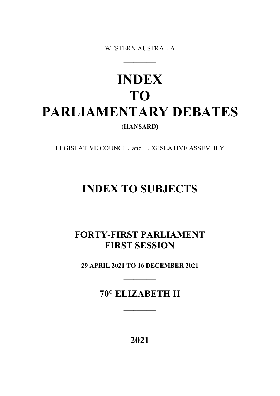WESTERN AUSTRALIA

 $\overline{\phantom{a}}$ 

# **INDEX TO PARLIAMENTARY DEBATES (HANSARD)**

LEGISLATIVE COUNCIL and LEGISLATIVE ASSEMBLY

# **INDEX TO SUBJECTS**

 $\overline{\phantom{a}}$ 

 $\overline{\phantom{a}}$ 

# **FORTY-FIRST PARLIAMENT FIRST SESSION**

**29 APRIL 2021 TO 16 DECEMBER 2021**

 $\overline{\phantom{a}}$ 

**70° ELIZABETH II**

 $\overline{\phantom{a}}$ 

**2021**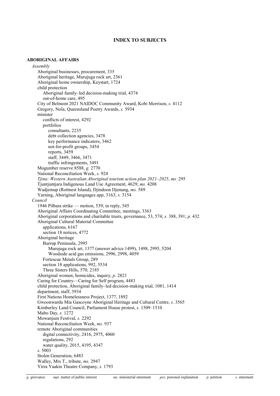# **INDEX TO SUBJECTS**

### **ABORIGINAL AFFAIRS**

*Assembly* Aboriginal businesses, procurement, 335 Aboriginal heritage, Murujuga rock art, 2361 Aboriginal home ownership, Keystart, 1724 child protection Aboriginal family–led decision-making trial, 4374 out-of-home care, 495 City of Belmont 2021 NAIDOC Community Award, Kobi Morrison, *s.* 4112 Gregory, Nola, Queensland Poetry Awards, *s.* 5934 minister conflicts of interest, 4292 portfolios consultants, 2235 debt collection agencies, 3478 key performance indicators, 3462 not-for-profit groups, 3454 reports, 3459 staff, 3449, 3466, 3471 traffic infringements, 3491 Mogumber reserve 8588, *g.* 2770 National Reconciliation Week, *s.* 924 *Tjina: Western Australian Aboriginal tourism action plan 2021–2025*, *ms.* 295 Tjuntjuntjara Indigenous Land Use Agreement, 4629; *ms.* 4208 Wadjemup (Rottnest Island), Djindoon Djenung, *ms.* 589 Yarning, Aboriginal languages app, 3163; *s.* 3154 *Council* 1946 Pilbara strike — motion, 539; in reply, 545 Aboriginal Affairs Coordinating Committee, meetings, 3363 Aboriginal corporations and charitable trusts, governance, 53, 574; *s.* 388, 391; *p.* 432 Aboriginal Cultural Material Committee applications, 6167 section 18 notices, 4772 Aboriginal heritage Burrup Peninsula, 2995 Murujuga rock art, 1377 (answer advice 1499), 1498, 2995, 5204 Woodside acid gas emissions, 2996, 2998, 4059 Fortescue Metals Group, 289 section 18 applications, 992, 5534 Three Sisters Hills, 570, 2185 Aboriginal women, homicides, inquiry, *p.* 2821 Caring for Country—Caring for Self program, 4483 child protection, Aboriginal family–led decision-making trial, 1081, 1414 department, staff, 3934 First Nations Homelessness Project, 1377, 1892 Gwoonwardu Mia Gascoyne Aboriginal Heritage and Cultural Centre, *s.* 3565 Kimberley Land Council, Parliament House protest, *s.* 1509–1510 Mabo Day, *s.* 1272 Mowanjum Festival, *s.* 2292 National Reconciliation Week, *ms.* 937 remote Aboriginal communities digital connectivity, 2416, 2975, 4060 regulations, 292 water quality, 2015, 4195, 4347 *s.* 5003 Stolen Generation, 6483 Walley, Mrs T., tribute, *ms.* 2947 Yirra Yaakin Theatre Company, *s.* 1793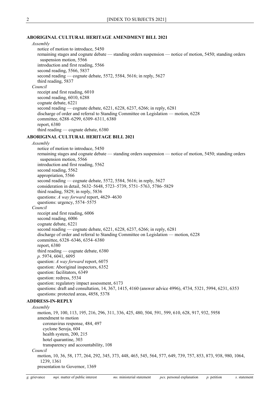# **ABORIGINAL CULTURAL HERITAGE AMENDMENT BILL 2021**

# *Assembly*

notice of motion to introduce, 5450 remaining stages and cognate debate — standing orders suspension — notice of motion, 5450; standing orders suspension motion, 5566 introduction and first reading, 5566 second reading, 5566, 5837 second reading — cognate debate, 5572, 5584, 5616; in reply, 5627 third reading, 5837 *Council* receipt and first reading, 6010 second reading, 6010, 6288 cognate debate, 6221 second reading — cognate debate, 6221, 6228, 6237, 6266; in reply, 6281 discharge of order and referral to Standing Committee on Legislation — motion, 6228 committee, 6288–6299, 6309–6311, 6380 report, 6380 third reading — cognate debate, 6380

#### **ABORIGINAL CULTURAL HERITAGE BILL 2021**

#### *Assembly*

notice of motion to introduce, 5450 remaining stages and cognate debate — standing orders suspension — notice of motion, 5450; standing orders suspension motion, 5566 introduction and first reading, 5562 second reading, 5562 appropriation, 5566 second reading — cognate debate, 5572, 5584, 5616; in reply, 5627 consideration in detail, 5632–5648, 5723–5739, 5751–5763, 5786–5829 third reading, 5829; in reply, 5836 questions: *A way forward* report, 4629–4630 questions: urgency, 5574–5575 *Council* receipt and first reading, 6006 second reading, 6006 cognate debate, 6221 second reading — cognate debate, 6221, 6228, 6237, 6266; in reply, 6281 discharge of order and referral to Standing Committee on Legislation — motion, 6228 committee, 6328–6346, 6354–6380 report, 6380 third reading — cognate debate, 6380 *p.* 5974, 6041, 6095 question: *A way forward* report, 6075 question: Aboriginal inspectors, 6352 question: facilitators, 6349 question: redress, 5534 question: regulatory impact assessment, 6173 questions: draft and consultation, 14, 367, 1415, 4160 (answer advice 4996), 4734, 5321, 5994, 6231, 6353 questions: protected areas, 4858, 5378

# **ADDRESS-IN-REPLY**

*Assembly* motion, 19, 100, 113, 195, 216, 296, 311, 336, 425, 480, 504, 591, 599, 610, 628, 917, 932, 5958 amendment to motion coronavirus response, 484, 497 cyclone Seroja, 604 health system, 200, 215 hotel quarantine, 303 transparency and accountability, 108 *Council*

# motion, 10, 36, 58, 177, 264, 292, 345, 373, 448, 465, 545, 564, 577, 649, 739, 757, 853, 873, 938, 980, 1064, 1239, 1361

presentation to Governor, 1369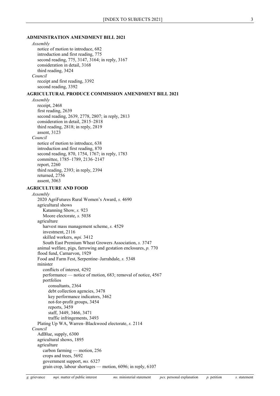#### **ADMINISTRATION AMENDMENT BILL 2021**

#### *Assembly*

notice of motion to introduce, 682 introduction and first reading, 775 second reading, 775, 3147, 3164; in reply, 3167 consideration in detail, 3168 third reading, 3424 *Council* receipt and first reading, 3392 second reading, 3392

#### **AGRICULTURAL PRODUCE COMMISSION AMENDMENT BILL 2021**

*Assembly* receipt, 2468 first reading, 2639 second reading, 2639, 2778, 2807; in reply, 2813 consideration in detail, 2815–2818 third reading, 2818; in reply, 2819 assent, 3123 *Council* notice of motion to introduce, 638 introduction and first reading, 870 second reading, 870, 1754, 1767; in reply, 1783 committee, 1785–1789, 2136–2147 report, 2260 third reading, 2393; in reply, 2394 returned, 2756 assent, 3063

#### **AGRICULTURE AND FOOD**

*Assembly* 2020 AgriFutures Rural Women's Award, *s.* 4690 agricultural shows Katanning Show, *s.* 923 Moore electorate, *s.* 5038 agriculture harvest mass management scheme, *s.* 4529 investment, 2116 skilled workers, *mpi.* 3412 South East Premium Wheat Growers Association, *s.* 3747 animal welfare, pigs, farrowing and gestation enclosures, *p.* 770 flood fund, Carnarvon, 1929 Food and Farm Fest, Serpentine–Jarrahdale, *s.* 5348 minister conflicts of interest, 4292 performance — notice of motion, 683; removal of notice, 4567 portfolios consultants, 2364 debt collection agencies, 3478 key performance indicators, 3462 not-for-profit groups, 3454 reports, 3459 staff, 3449, 3466, 3471 traffic infringements, 3493 Plating Up WA, Warren–Blackwood electorate, *s.* 2114 *Council* AdBlue, supply, 6300 agricultural shows, 1895 agriculture carbon farming — motion, 256 crops and trees, 5692 government support, *ms.* 6327 grain crop, labour shortages — motion, 6096; in reply, 6107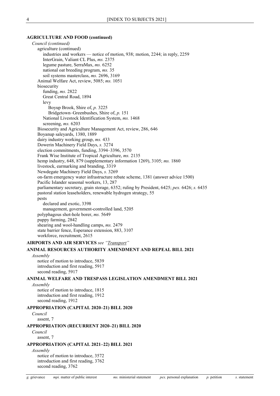#### **AGRICULTURE AND FOOD (continued)**

*Council (continued)* agriculture (continued) industries and workers — notice of motion, 938; motion, 2244; in reply, 2259 InterGrain, Valiant CL Plus, *ms.* 2375 legume pasture, SerraMax, *ms.* 6252 national oat breeding program, *ms.* 35 soil systems masterclass, *ms.* 2696, 3169 Animal Welfare Act, review, 5085; *ms.* 1051 biosecurity funding, *ms.* 2822 Great Central Road, 1894 levy Boyup Brook, Shire of, *p.* 3225 Bridgetown–Greenbushes, Shire of, *p.* 151 National Livestock Identification System, *ms.* 1468 screening, *ms.* 6203 Biosecurity and Agriculture Management Act, review, 286, 646 Boyanup saleyards, 1380, 1889 dairy industry working group, *ms.* 433 Dowerin Machinery Field Days, *s.* 3274 election commitments, funding, 3394–3396, 3570 Frank Wise Institute of Tropical Agriculture, *ms.* 2135 hemp industry, 648, 879 (supplementary information 1269), 3105; *ms.* 1860 livestock, earmarking and branding, 3319 Newdegate Machinery Field Days, *s.* 3269 on-farm emergency water infrastructure rebate scheme, 1381 (answer advice 1500) Pacific Islander seasonal workers, 13, 287 parliamentary secretary, grain storage, 6352; ruling by President, 6425; *pex.* 6426; *s.* 6435 pastoral station leaseholders, renewable hydrogen strategy, 55 pests declared and exotic, 3398 management, government-controlled land, 5205 polyphagous shot-hole borer, *ms.* 5649 puppy farming, 2842 shearing and wool-handling camps, *ms.* 2479 state barrier fence, Esperance extension, 883, 3107 workforce, recruitment, 2615 **AIRPORTS AND AIR SERVICES** *see ["Transport"](#page-64-0)* **ANIMAL RESOURCES AUTHORITY AMENDMENT AND REPEAL BILL 2021** *Assembly* notice of motion to introduce, 5839 introduction and first reading, 5917 second reading, 5917 **ANIMAL WELFARE AND TRESPASS LEGISLATION AMENDMENT BILL 2021** *Assembly* notice of motion to introduce, 1815 introduction and first reading, 1912 second reading, 1912 **APPROPRIATION (CAPITAL 2020–21) BILL 2020** *Council* assent, 7 **APPROPRIATION (RECURRENT 2020–21) BILL 2020** *Council* assent, 7 **APPROPRIATION (CAPITAL 2021–22) BILL 2021** *Assembly*

notice of motion to introduce, 3572 introduction and first reading, 3762 second reading, 3762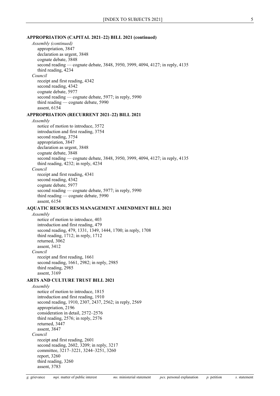#### **APPROPRIATION (CAPITAL 2021–22) BILL 2021 (continued)**

*Assembly (continued)* appropriation, 3847 declaration as urgent, 3848 cognate debate, 3848 second reading — cognate debate, 3848, 3950, 3999, 4094, 4127; in reply, 4135 third reading, 4234 *Council* receipt and first reading, 4342 second reading, 4342 cognate debate, 5977 second reading — cognate debate, 5977; in reply, 5990 third reading — cognate debate, 5990 assent, 6154 **APPROPRIATION (RECURRENT 2021–22) BILL 2021** *Assembly* notice of motion to introduce, 3572 introduction and first reading, 3754 second reading, 3754 appropriation, 3847 declaration as urgent, 3848 cognate debate, 3848 second reading — cognate debate, 3848, 3950, 3999, 4094, 4127; in reply, 4135 third reading, 4232; in reply, 4234 *Council* receipt and first reading, 4341 second reading, 4342 cognate debate, 5977 second reading — cognate debate, 5977; in reply, 5990 third reading — cognate debate, 5990 assent, 6154 **AQUATIC RESOURCES MANAGEMENT AMENDMENT BILL 2021** *Assembly* notice of motion to introduce, 403 introduction and first reading, 479 second reading, 479, 1331, 1349, 1444, 1700; in reply, 1708 third reading, 1712; in reply, 1712 returned, 3062 assent, 3412 *Council* receipt and first reading, 1661 second reading, 1661, 2982; in reply, 2985 third reading, 2985 assent, 3169 **ARTS AND CULTURE TRUST BILL 2021** *Assembly* notice of motion to introduce, 1815 introduction and first reading, 1910 second reading, 1910, 2307, 2437, 2562; in reply, 2569 appropriation, 2196 consideration in detail, 2572–2576 third reading, 2576; in reply, 2576 returned, 3447 assent, 3847 *Council* receipt and first reading, 2601 second reading, 2602, 3209; in reply, 3217 committee, 3217–3221, 3244–3251, 3260 report, 3260 third reading, 3260 assent, 3783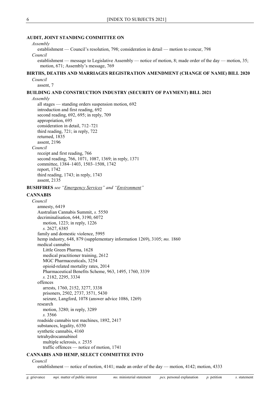#### **AUDIT, JOINT STANDING COMMITTEE ON**

#### *Assembly*

establishment — Council's resolution, 798; consideration in detail — motion to concur, 798 *Council*

establishment — message to Legislative Assembly — notice of motion, 8; made order of the day — motion, 35; motion, 671; Assembly's message, 769

# **BIRTHS, DEATHS AND MARRIAGES REGISTRATION AMENDMENT (CHANGE OF NAME) BILL 2020**

*Council*

assent, 7

# **BUILDING AND CONSTRUCTION INDUSTRY (SECURITY OF PAYMENT) BILL 2021**

*Assembly*

all stages — standing orders suspension motion, 692 introduction and first reading, 692 second reading, 692, 695; in reply, 709 appropriation, 695 consideration in detail, 712–721 third reading, 721; in reply, 722 returned, 1835 assent, 2196 *Council* receipt and first reading, 766 second reading, 766, 1071, 1087, 1369; in reply, 1371 committee, 1384–1403, 1503–1508, 1742 report, 1742 third reading, 1743; in reply, 1743 assent, 2135

**BUSHFIRES** *see ["Emergency Services"](#page-24-0) and ["Environment"](#page-26-0)*

#### <span id="page-6-0"></span>**CANNABIS**

*Council* amnesty, 6419 Australian Cannabis Summit, *s.* 5550 decriminalisation, 644, 3190, 6072 motion, 1223; in reply, 1226 *s.* 2627, 6385 family and domestic violence, 5995 hemp industry, 648, 879 (supplementary information 1269), 3105; *ms.* 1860 medical cannabis Little Green Pharma, 1628 medical practitioner training, 2612 MGC Pharmaceuticals, 3254 opioid-related mortality rates, 2014 Pharmaceutical Benefits Scheme, 963, 1495, 1760, 3339 *s.* 2182, 2295, 3334 offences arrests, 1760, 2152, 3277, 3338 prisoners, 2502, 2737, 3571, 5430 seizure, Langford, 1078 (answer advice 1086, 1269) research motion, 3280; in reply, 3289 *s.* 3566 roadside cannabis test machines, 1892, 2417 substances, legality, 6350 synthetic cannabis, 4160 tetrahydrocannabinol multiple sclerosis, *s.* 2535 traffic offences — notice of motion, 1741

#### **CANNABIS AND HEMP, SELECT COMMITTEE INTO**

*Council*

establishment — notice of motion, 4141; made an order of the day — motion, 4142; motion, 4333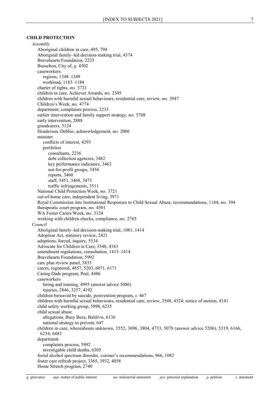#### **CHILD PROTECTION**

*Assembly* Aboriginal children in care, 495, 794 Aboriginal family–led decision-making trial, 4374 Bravehearts Foundation, 2233 Busselton, City of, *g.* 4502 caseworkers regions, 1348–1349 workload, 1183–1184 charter of rights, *ms.* 3721 children in care, Achiever Awards, *ms.* 2305 children with harmful sexual behaviours, residential care, review, *ms.* 3947 Children's Week, *ms.* 4774 department, complaints process, 2233 earlier intervention and family support strategy, *ms.* 5708 early intervention, 2888 grandcarers, 5124 Henderson, Debbie, acknowledgement, *ms.* 2086 minister conflicts of interest, 4293 portfolios consultants, 2236 debt collection agencies, 3482 key performance indicators, 3463 not-for-profit groups, 3456 reports, 3460 staff, 3451, 3468, 3473 traffic infringements, 3511 National Child Protection Week, *ms.* 3721 out-of-home care, independent living, 3971 Royal Commission into Institutional Responses to Child Sexual Abuse, recommendations, 1184; *ms.* 394 therapeutic court program, *ms.* 4501 WA Foster Carers Week, *ms.* 3124 working with children checks, compliance, *ms.* 2765 *Council* Aboriginal family–led decision-making trial, 1081, 1414 Adoption Act, statutory review, 2421 adoptions, forced, inquiry, 5534 Advocate for Children in Care, 3548, 4163 amendment regulations, consultation, 1413–1414 Bravehearts Foundation, 5992 care plan review panel, 3835 carers, registered, 4857, 5203, 6071, 6171 Caring Dads program, Peel, 4486 caseworkers hiring and training, 4995 (answer advice 5086) injuries, 2846, 3257, 4192 children bereaved by suicide, postvention program, *s.* 467 children with harmful sexual behaviours, residential care, review, 3548, 4324; notice of motion, 4141 child safety working group, 5998, 6235 child sexual abuse allegations, Busy Bees, Baldivis, 6136 national strategy to prevent, 647 children in care, whereabouts unknown, 3552, 3696, 3804, 4733, 5078 (answer advice 5206), 5319, 6166, 6234, 6483 department complaints process, 5992 investigable child deaths, 6305 foetal alcohol spectrum disorder, coroner's recommendations, 966, 1082 foster care refresh project, 3365, 3932, 4058 Home Stretch program, 2740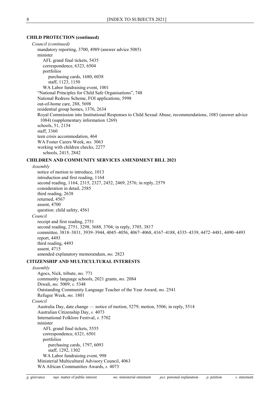#### **CHILD PROTECTION (continued)**

*Council (continued)* mandatory reporting, 3700, 4989 (answer advice 5085) minister AFL grand final tickets, 5435 correspondence, 6323, 6504 portfolios purchasing cards, 1680, 6038 staff, 1123, 1150 WA Labor fundraising event, 1001 "National Principles for Child Safe Organisations", 748 National Redress Scheme, FOI applications, 5998 out-of-home care, 288, 5698 residential group homes, 1376, 2634 Royal Commission into Institutional Responses to Child Sexual Abuse, recommendations, 1083 (answer advice 1084) (supplementary information 1269) schools, 51, 2154 staff, 3360 teen crisis accommodation, 464 WA Foster Carers Week, *ms.* 3063 working with children checks, 2277 schools, 2415, 2842

# **CHILDREN AND COMMUNITY SERVICES AMENDMENT BILL 2021**

*Assembly*

notice of motion to introduce, 1013 introduction and first reading, 1164 second reading, 1164, 2315, 2327, 2452, 2469, 2576; in reply, 2579 consideration in detail, 2585 third reading, 2638 returned, 4567 assent, 4700 question: child safety, 4561 *Council* receipt and first reading, 2751 second reading, 2751, 3298, 3688, 3704; in reply, 3705, 3817 committee, 3818–3831, 3939–3944, 4045–4056, 4067–4068, 4167–4188, 4335–4339, 4472–4481, 4490–4493 report, 4493 third reading, 4493 assent, 4715 amended explanatory memorandum, *ms.* 2823

#### **CITIZENSHIP AND MULTICULTURAL INTERESTS**

#### *Assembly*

Agocs, Nick, tribute, *ms.* 771 community language schools, 2021 grants, *ms.* 2084 Diwali, *ms.* 5009; *s.* 5348 Outstanding Community Language Teacher of the Year Award, *ms.* 2541 Refugee Week, *ms.* 1801 *Council* Australia Day, date change — notice of motion, 5279; motion, 5506; in reply, 5514 Australian Citizenship Day, *s.* 4073 International Folklore Festival, *s.* 5702 minister AFL grand final tickets, 5555 correspondence, 6321, 6501 portfolios purchasing cards, 1797, 6093 staff, 1292, 1302 WA Labor fundraising event, 998 Ministerial Multicultural Advisory Council, 4063 WA African Communities Awards, *s.* 4073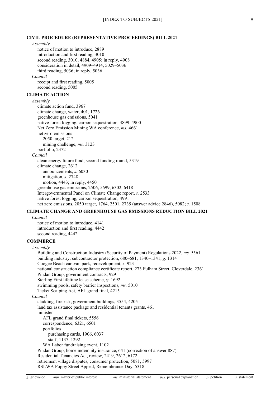#### **CIVIL PROCEDURE (REPRESENTATIVE PROCEEDINGS) BILL 2021**

#### *Assembly*

<span id="page-9-0"></span>notice of motion to introduce, 2889 introduction and first reading, 3010 second reading, 3010, 4884, 4905; in reply, 4908 consideration in detail, 4909–4914, 5029–5036 third reading, 5036; in reply, 5036 *Council* receipt and first reading, 5005 second reading, 5005 **CLIMATE ACTION** *Assembly* climate action fund, 3967 climate change, water, 401, 1726 greenhouse gas emissions, 5041 native forest logging, carbon sequestration, 4899–4900 Net Zero Emission Mining WA conference, *ms.* 4661 net zero emissions 2050 target, 212 mining challenge, *ms.* 3123 portfolio, 2372 *Council* clean energy future fund, second funding round, 5319 climate change, 2612 announcements, *s.* 6030 mitigation, *s.* 2748 motion, 4443; in reply, 4450 greenhouse gas emissions, 2506, 5699, 6302, 6418 Intergovernmental Panel on Climate Change report, *s.* 2533 native forest logging, carbon sequestration, 4991 net zero emissions, 2050 target, 1764, 2501, 2735 (answer advice 2846), 5082; *s.* 1508

# **CLIMATE CHANGE AND GREENHOUSE GAS EMISSIONS REDUCTION BILL 2021**

*Council* notice of motion to introduce, 4141 introduction and first reading, 4442 second reading, 4442

# **COMMERCE**

# *Assembly* Building and Construction Industry (Security of Payment) Regulations 2022, *ms.* 5561 building industry, subcontractor protection, 680–681, 1340–1341; *g.* 1314 Coogee Beach caravan park, redevelopment, *s.* 923 national construction compliance certificate report, 273 Fulham Street, Cloverdale, 2361 Pindan Group, government contracts, 929 Sterling First lifetime lease scheme, *g.* 1692 swimming pools, safety barrier inspections, *ms.* 5010 Ticket Scalping Act, AFL grand final, 4215 *Council* cladding, fire risk, government buildings, 3554, 4205 land tax assistance package and residential tenants grants, 461 minister AFL grand final tickets, 5556 correspondence, 6321, 6501 portfolios purchasing cards, 1906, 6037 staff, 1137, 1292 WA Labor fundraising event, 1102 Pindan Group, home indemnity insurance, 641 (correction of answer 887) Residential Tenancies Act, review, 2419, 2612, 6172 retirement village disputes, consumer protection, 5081, 5997

RSLWA Poppy Street Appeal, Remembrance Day, 5318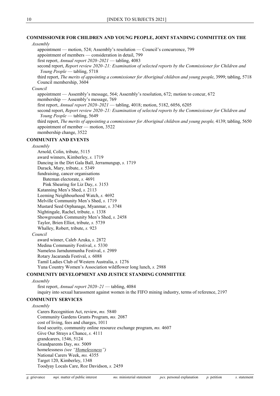#### **COMMISSIONER FOR CHILDREN AND YOUNG PEOPLE, JOINT STANDING COMMITTEE ON THE**

# *Assembly* appointment — motion, 524; Assembly's resolution — Council's concurrence, 799 appointment of members — consideration in detail, 799 first report, *Annual report 2020–2021* — tabling, 4083 second report, *Report review 2020–21: Examination of selected reports by the Commissioner for Children and Young People* — tabling, 5718 third report, *The merits of appointing a commissioner for Aboriginal children and young people*, 3999; tabling, 5718 Council membership, 3604 *Council* appointment — Assembly's message, 564; Assembly's resolution, 672; motion to concur, 672 membership — Assembly's message, 769 first report, *Annual report 2020–2021* — tabling, 4018; motion, 5182, 6056, 6205 second report, *Report review 2020–21: Examination of selected reports by the Commissioner for Children and Young People* — tabling, 5649 third report, *The merits of appointing a commissioner for Aboriginal children and young people*, 4139; tabling, 5650 appointment of member — motion, 3522 membership change, 3522 **COMMUNITY AND EVENTS** *Assembly* Arnold, Colin, tribute, 5115 award winners, Kimberley, *s.* 1719 Dancing in the Dirt Gala Ball, Jerramungup, *s.* 1719 Durack, Mary, tribute, *s.* 5349 fundraising, cancer organisations Bateman electorate, *s.* 4691 Pink Shearing for Liz Day, *s.* 3153 Katanning Men's Shed, *s.* 2113 Leeming Neighbourhood Watch, *s.* 4692 Melville Community Men's Shed, *s.* 1719 Mustard Seed Orphanage, Myanmar, *s.* 3748 Nightingale, Rachel, tribute, *s.* 1338 Showgrounds Community Men's Shed, *s.* 2458 Taylor, Brien Elliot, tribute, *s.* 5739 Whalley, Robert, tribute, *s.* 923 *Council* award winner, Caleb Azuka, *s.* 2872 Medina Community Festival, *s.* 5330 Nameless Jarndunmunha Festival, *s.* 2989 Rotary Jacaranda Festival, *s.* 6088 Tamil Ladies Club of Western Australia, *s.* 1276 Yuna Country Women's Association wildflower long lunch, *s.* 2988 **COMMUNITY DEVELOPMENT AND JUSTICE STANDING COMMITTEE** *Assembly* first report, *Annual report 2020–21* — tabling, 4084 inquiry into sexual harassment against women in the FIFO mining industry, terms of reference, 2197 **COMMUNITY SERVICES** *Assembly* Carers Recognition Act, review, *ms.* 5840 Community Gardens Grants Program, *ms.* 2087 cost of living, fees and charges, 1011 food security, community online resource exchange program, *ms.* 4607 Give Our Strays a Chance, *s.* 4111 grandcarers, 1546, 5124 Grandparents Day, *ms.* 5009 homelessness *(see ["Homelessness"](#page-36-0))* National Carers Week, *ms.* 4355

Target 120, Kimberley, 1348 Toodyay Locals Care, Roz Davidson, *s.* 2459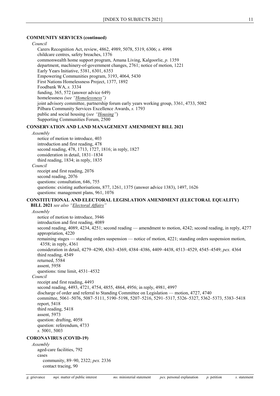## **COMMUNITY SERVICES (continued)**

#### *Council*

Carers Recognition Act, review, 4862, 4989, 5078, 5319, 6306; *s.* 4998 childcare centres, safety breaches, 1376 commonwealth home support program, Amana Living, Kalgoorlie, *p.* 1359 department, machinery-of-government changes, 2761; notice of motion, 1221 Early Years Initiative, 5381, 6301, 6353 Empowering Communities program, 3193, 4064, 5430 First Nations Homelessness Project, 1377, 1892 Foodbank WA, *s.* 3334 funding, 365, 572 (answer advice 649) homelessness *(see ["Homelessness"](#page-36-0))* joint advisory committee, partnership forum early years working group, 3361, 4733, 5082 Pilbara Community Services Excellence Awards, *s.* 1793 public and social housing (*see ["Housing"](#page-37-0)*) Supporting Communities Forum, 2500

# **CONSERVATION AND LAND MANAGEMENT AMENDMENT BILL 2021**

#### *Assembly*

notice of motion to introduce, 403 introduction and first reading, 478 second reading, 478, 1713, 1727, 1816; in reply, 1827 consideration in detail, 1831–1834 third reading, 1834; in reply, 1835 *Council* receipt and first reading, 2076 second reading, 2076 questions: consultation, 646, 755 questions: existing authorisations, 877, 1261, 1375 (answer advice 1383), 1497, 1626 questions: management plans, 961, 1076

#### <span id="page-11-1"></span>**CONSTITUTIONAL AND ELECTORAL LEGISLATION AMENDMENT (ELECTORAL EQUALITY)**

**BILL 2021** *see also ["Electoral Affairs"](#page-24-1)*

*Assembly* notice of motion to introduce, 3946 introduction and first reading, 4089 second reading, 4089, 4234, 4251; second reading — amendment to motion, 4242; second reading, in reply, 4277 appropriation, 4220 remaining stages — standing orders suspension — notice of motion, 4221; standing orders suspension motion, 4358; in reply, 4361 consideration in detail, 4279–4290, 4363–4369, 4384–4386, 4409–4438, 4513–4529, 4545–4549; *pex.* 4364 third reading, 4549 returned, 5584 assent, 5958 questions: time limit, 4531–4532 *Council* receipt and first reading, 4493 second reading, 4493, 4721, 4754, 4855, 4864, 4956; in reply, 4981, 4997 discharge of order and referral to Standing Committee on Legislation — motion, 4727, 4740 committee, 5061–5076, 5087–5111, 5190–5198, 5207–5216, 5291–5317, 5326–5327, 5362–5373, 5383–5418 report, 5418 third reading, 5418 assent, 5973 question: drafting, 4058 question: referendum, 4733 *s.* 5001, 5003 **CORONAVIRUS (COVID-19)**

<span id="page-11-0"></span>*Assembly* aged-care facilities, 792 cases community, 89–90, 2322; *pex.* 2336 contact tracing, 90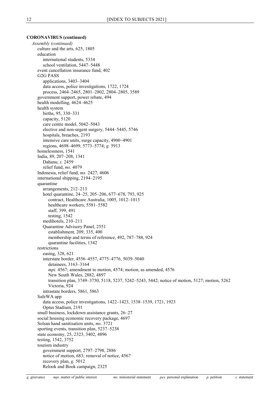*Assembly (continued)* culture and the arts, 625, 1805 education international students, 5334 school ventilation, 5447–5448 event cancellation insurance fund, 402 G2G PASS applications, 3403–3404 data access, police investigations, 1722, 1724 process, 2464–2465, 2801–2802, 2804–2805, 3589 government support, power rebate, 494 health modelling, 4624–4625 health system births, 95, 330–331 capacity, 5120 care centre model, 5042–5043 elective and non-urgent surgery, 5444–5445, 5746 hospitals, breaches, 2193 intensive care units, surge capacity, 4900–4901 regions, 4698–4699, 5773–5774; *g.* 5913 homelessness, 1541 India, 89, 207–208, 1341 Dahanu, *s.* 2459 relief fund, *ms.* 4079 Indonesia, relief fund, *ms.* 2427, 4606 international shipping, 2194–2195 quarantine arrangements, 212–213 hotel quarantine, 24–25, 205–206, 677–678, 793, 925 contract, Healthcare Australia, 1005, 1012–1013 healthcare workers, 5581–5582 staff, 399, 491 testing, 1542 medihotels, 210–211 Quarantine Advisory Panel, 2551 establishment, 209, 335, 400 membership and terms of reference, 492, 787–788, 924 quarantine facilities, 1342 restrictions easing, 328, 621 interstate border, 4556–4557, 4775–4776, 5039–5040 detainees, 3163–3164 *mpi.* 4567; amendment to motion, 4574; motion, as amended, 4576 New South Wales, 2882, 4897 transition plan, 3749–3750, 5118, 5237, 5242–5243, 5442; notice of motion, 5127; motion, 5262 Victoria, 924 intrastate borders, 5861, 5863 SafeWA app data access, police investigations, 1422–1423, 1538–1539, 1721, 1923 Optus Stadium, 2191 small business, lockdown assistance grants, 26–27 social housing economic recovery package, 4697 Solsan hand sanitisation units, *ms.* 3721 sporting events, transition plan, 5237–5238 state economy, 25, 2323, 3402, 4896 testing, 1542, 3752 tourism industry government support, 2797–2798, 2886 notice of motion, 683; removal of notice, 4567 recovery plan, *g.* 5012 Relook and Book campaign, 2325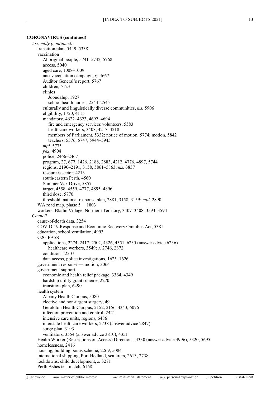*Assembly (continued)* transition plan, 5449, 5338 vaccination Aboriginal people, 5741–5742, 5768 access, 5040 aged care, 1008–1009 anti-vaccination campaign, *g.* 4667 Auditor General's report, 5767 children, 5123 clinics Joondalup, 1927 school health nurses, 2544–2545 culturally and linguistically diverse communities, *ms.* 5906 eligibility, 1720, 4115 mandatory, 4622–4623, 4692–4694 fire and emergency services volunteers, 5583 healthcare workers, 3408, 4217–4218 members of Parliament, 5332; notice of motion, 5774; motion, 5842 teachers, 5576, 5747, 5944–5945 *mpi.* 5775 *pex.* 4904 police, 2466–2467 program, 27, 677, 1426, 2188, 2883, 4212, 4776, 4897, 5744 regions, 2190–2191, 3158, 5861–5863; *ms.* 3837 resources sector, 4213 south-eastern Perth, 4560 Summer Vax Drive, 5857 target, 4558–4559, 4777, 4895–4896 third dose, 5770 threshold, national response plan, 2881, 3158–3159; *mpi.* 2890 WA road map, phase 5 1803 workers, Bladin Village, Northern Territory, 3407–3408, 3593–3594 *Council* cause-of-death data, 3254 COVID-19 Response and Economic Recovery Omnibus Act, 5381 education, school ventilation, 4993 G2G PASS applications, 2274, 2417, 2502, 4326, 4351, 6235 (answer advice 6236) healthcare workers, 3549; *s.* 2746, 2872 conditions, 2507 data access, police investigations, 1625–1626 government response — motion, 3064 government support economic and health relief package, 3364, 4349 hardship utility grant scheme, 2270 transition plan, 6490 health system Albany Health Campus, 5080 elective and non-urgent surgery, 49 Geraldton Health Campus, 2152, 2156, 4343, 6076 infection prevention and control, 2421 intensive care units, regions, 6486 interstate healthcare workers, 2738 (answer advice 2847) surge plan, 3193 ventilators, 3554 (answer advice 3810), 4351 Health Worker (Restrictions on Access) Directions, 4330 (answer advice 4996), 5320, 5695 homelessness, 2416 housing, building bonus scheme, 2269, 5084 international shipping, Port Hedland, seafarers, 2613, 2738 lockdowns, child development, *s.* 3271 Perth Ashes test match, 6168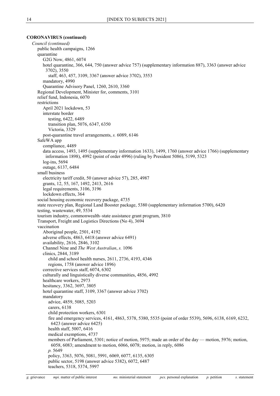*Council (continued)* public health campaigns, 1266 quarantine G2G Now, 4861, 6074 hotel quarantine, 366, 644, 750 (answer advice 757) (supplementary information 887), 3363 (answer advice 3702), 3550 staff, 463, 457, 3109, 3367 (answer advice 3702), 3553 mandatory, 4990 Quarantine Advisory Panel, 1260, 2610, 3360 Regional Development, Minister for, comments, 3101 relief fund, Indonesia, 6070 restrictions April 2021 lockdown, 53 interstate border testing, 6422, 6489 transition plan, 5076, 6347, 6350 Victoria, 3329 post-quarantine travel arrangements, *s.* 6089, 6146 SafeWA app compliance, 4489 data access, 1493, 1495 (supplementary information 1633), 1499, 1760 (answer advice 1766) (supplementary information 1898), 4992 (point of order 4996) (ruling by President 5086), 5199, 5323 log-ins, 5694 outage, 6137, 6484 small business electricity tariff credit, 50 (answer advice 57), 285, 4987 grants, 12, 55, 167, 1492, 2413, 2616 legal requirements, 3106, 3196 lockdown effects, 364 social housing economic recovery package, 4735 state recovery plan, Regional Land Booster package, 5380 (supplementary information 5700), 6420 testing, wastewater, 49, 5534 tourism industry, commonwealth–state assistance grant program, 3810 Transport, Freight and Logistics Directions (No 4), 3694 vaccination Aboriginal people, 2501, 4192 adverse effects, 4863, 6418 (answer advice 6491) availability, 2616, 2846, 3102 Channel Nine and *The West Australian*, *s.* 1096 clinics, 2844, 3189 child and school health nurses, 2611, 2736, 4193, 4346 regions, 1758 (answer advice 1896) corrective services staff, 6074, 6302 culturally and linguistically diverse communities, 4856, 4992 healthcare workers, 2973 hesitancy, 3362, 3697, 3805 hotel quarantine staff, 3109, 3367 (answer advice 3702) mandatory advice, 4859, 5085, 5203 carers, 6138 child protection workers, 6301 fire and emergency services, 4161, 4863, 5378, 5380, 5535 (point of order 5539), 5696, 6138, 6169, 6232, 6423 (answer advice 6425) health staff, 5007, 6416 medical exemptions, 4737 members of Parliament, 5301; notice of motion, 5975; made an order of the day — motion, 5976; motion, 6058, 6083; amendment to motion, 6066, 6078; motion, in reply, 6086 *p.* 5649 policy, 3363, 5076, 5081, 5991, 6069, 6077, 6135, 6305 public sector, 5198 (answer advice 5382), 6072, 6487 teachers, 5318, 5374, 5997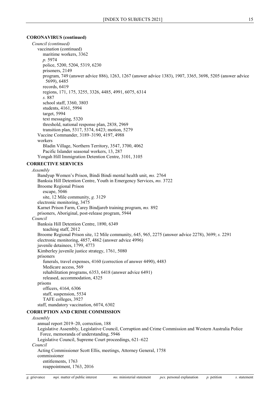*Council (continued)* vaccination (continued) maritime workers, 3362 *p.* 5974 police, 5200, 5204, 5319, 6230 prisoners, 2149 program, 749 (answer advice 886), 1263, 1267 (answer advice 1383), 1907, 3365, 3698, 5205 (answer advice 5699), 6485 records, 6419 regions, 171, 175, 3255, 3326, 4485, 4991, 6075, 6314 *s.* 887 school staff, 3360, 3803 students, 4161, 5994 target, 5994 text messaging, 5320 threshold, national response plan, 2838, 2969 transition plan, 5317, 5374, 6423; motion, 5279 Vaccine Commander, 3189–3190, 4197, 4988 workers Bladin Village, Northern Territory, 3547, 3700, 4062 Pacific Islander seasonal workers, 13, 287 Yongah Hill Immigration Detention Centre, 3101, 3105 **CORRECTIVE SERVICES** *Assembly* Bandyup Women's Prison, Bindi Bindi mental health unit, *ms.* 2764 Banksia Hill Detention Centre, Youth in Emergency Services, *ms.* 3722 Broome Regional Prison escape, 5046 site, 12 Mile community, *g.* 3129 electronic monitoring, 3475 Karnet Prison Farm, Carey Bindjareb training program, *ms.* 892 prisoners, Aboriginal, post-release program, 5944 Banksia Hill Detention Centre, 1890, 6349

*Council* teaching staff, 2012 Broome Regional Prison site, 12 Mile community, 645, 965, 2275 (answer advice 2278), 3699; *s.* 2291 electronic monitoring, 4857, 4862 (answer advice 4996) juvenile detainees, 1799, 4773 Kimberley juvenile justice strategy, 1761, 5080 prisoners funerals, travel expenses, 4160 (correction of answer 4490), 4483 Medicare access, 569 rehabilitation programs, 6353, 6418 (answer advice 6491) released, accommodation, 4325 prisons officers, 4164, 6306 staff, suspension, 5534

#### TAFE colleges, 3927 staff, mandatory vaccination, 6074, 6302

# **CORRUPTION AND CRIME COMMISSION**

#### *Assembly*

annual report 2019–20, correction, 188 Legislative Assembly, Legislative Council, Corruption and Crime Commission and Western Australia Police Force, memoranda of understanding, 5946 Legislative Council, Supreme Court proceedings, 621–622 *Council* Acting Commissioner Scott Ellis, meetings, Attorney General, 1758 commissioner entitlements, 1763 reappointment, 1763, 2016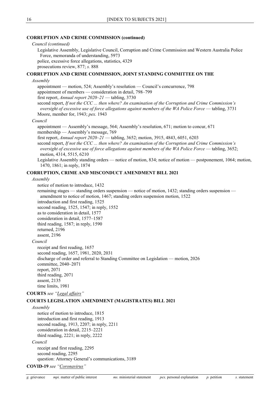#### **CORRUPTION AND CRIME COMMISSION (continued)**

#### *Council (continued)*

Legislative Assembly, Legislative Council, Corruption and Crime Commission and Western Australia Police Force, memoranda of understanding, 5973

police, excessive force allegations, statistics, 4329

prosecutions review, 877; *s.* 888

#### **CORRUPTION AND CRIME COMMISSION, JOINT STANDING COMMITTEE ON THE**

#### *Assembly*

appointment — motion, 524; Assembly's resolution — Council's concurrence, 798 appointment of members — consideration in detail, 798–799 first report, *Annual report 2020–21* — tabling, 3730 second report, *If not the CCC ... then where? An examination of the Corruption and Crime Commission's oversight of excessive use of force allegations against members of the WA Police Force* — tabling, 3731 Moore, member for, 1943; *pex.* 1943

#### *Council*

appointment — Assembly's message, 564; Assembly's resolution, 671; motion to concur, 671 membership — Assembly's message, 769

first report, *Annual report 2020–21* — tabling, 3652; motion, 3915, 4843, 6051, 6203

second report, *If not the CCC ... then where? An examination of the Corruption and Crime Commission's oversight of excessive use of force allegations against members of the WA Police Force* — tabling, 3652; motion, 4314, 5515, 6210

Legislative Assembly standing orders — notice of motion, 834; notice of motion — postponement, 1064; motion, 1470, 1861; in reply, 1874

#### **CORRUPTION, CRIME AND MISCONDUCT AMENDMENT BILL 2021**

#### *Assembly*

notice of motion to introduce, 1432

remaining stages — standing orders suspension — notice of motion, 1432; standing orders suspension amendment to notice of motion, 1467; standing orders suspension motion, 1522 introduction and first reading, 1525 second reading, 1525, 1547; in reply, 1552 as to consideration in detail, 1577 consideration in detail, 1577–1587 third reading, 1587; in reply, 1590 returned, 2196 assent, 2196 *Council* receipt and first reading, 1657

second reading, 1657, 1981, 2020, 2031 discharge of order and referral to Standing Committee on Legislation — motion, 2026 committee, 2040–2071 report, 2071 third reading, 2071 assent, 2135 time limits, 1981

**COURTS** *see ["Legal affairs"](#page-40-0)*

# **COURTS LEGISLATION AMENDMENT (MAGISTRATES) BILL 2021**

*Assembly* notice of motion to introduce, 1815 introduction and first reading, 1913 second reading, 1913, 2207; in reply, 2211 consideration in detail, 2215–2221 third reading, 2221; in reply, 2222 *Council* receipt and first reading, 2295 second reading, 2295

question: Attorney General's communications, 3189

**COVID-19** *see ["Coronavirus"](#page-11-0)*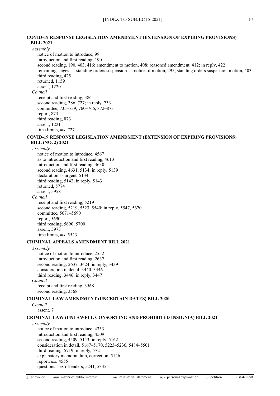#### **COVID-19 RESPONSE LEGISLATION AMENDMENT (EXTENSION OF EXPIRING PROVISIONS) BILL 2021**

*Assembly*

notice of motion to introduce, 99 introduction and first reading, 190 second reading, 190, 403, 416; amendment to motion, 408; reasoned amendment, 412; in reply, 422 remaining stages — standing orders suspension — notice of motion, 295; standing orders suspension motion, 403 third reading, 425 returned, 1159 assent, 1220 *Council* receipt and first reading, 386 second reading, 386, 727; in reply, 733 committee, 735–739, 760–766, 872–873 report, 873 third reading, 873 assent, 1221

time limits, *ms.* 727

# **COVID-19 RESPONSE LEGISLATION AMENDMENT (EXTENSION OF EXPIRING PROVISIONS) BILL (NO. 2) 2021**

*Assembly*

notice of motion to introduce, 4567 as to introduction and first reading, 4613 introduction and first reading, 4630 second reading, 4631, 5134; in reply, 5139 declaration as urgent, 5134 third reading, 5142; in reply, 5143 returned, 5774 assent, 5958 *Council* receipt and first reading, 5219 second reading, 5219, 5523, 5540; in reply, 5547, 5670 committee, 5671–5690 report, 5690 third reading, 5690, 5700 assent, 5973 time limits, *ms.* 5523

### **CRIMINAL APPEALS AMENDMENT BILL 2021**

*Assembly*

notice of motion to introduce, 2552 introduction and first reading, 2637 second reading, 2637, 3424; in reply, 3439 consideration in detail, 3440–3446 third reading, 3446; in reply, 3447 *Council* receipt and first reading, 3568 second reading, 3568

#### **CRIMINAL LAW AMENDMENT (UNCERTAIN DATES) BILL 2020**

*Council* assent, 7

#### **CRIMINAL LAW (UNLAWFUL CONSORTING AND PROHIBITED INSIGNIA) BILL 2021**

#### *Assembly*

notice of motion to introduce, 4353 introduction and first reading, 4509 second reading, 4509, 5143; in reply, 5162 consideration in detail, 5167–5170, 5223–5236, 5484–5501 third reading, 5719; in reply, 5721 explanatory memorandum, correction, 5126 report, *ms.* 4555 questions: sex offenders, 5241, 5335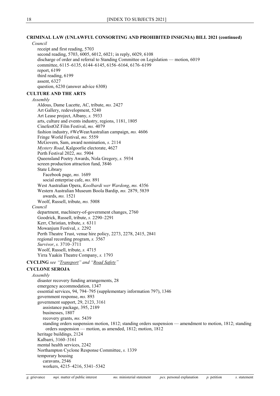#### **CRIMINAL LAW (UNLAWFUL CONSORTING AND PROHIBITED INSIGNIA) BILL 2021 (continued)**

*Council*

receipt and first reading, 5703 second reading, 5703, 6005, 6012, 6021; in reply, 6029, 6108 discharge of order and referral to Standing Committee on Legislation — motion, 6019 committee, 6115–6135, 6144–6145, 6156–6164, 6176–6199 report, 6199 third reading, 6199 assent, 6327 question, 6230 (answer advice 6308)

### **CULTURE AND THE ARTS**

*Assembly*

Aldous, Dame Lucette, AC, tribute, *ms.* 2427 Art Gallery, redevelopment, 5240 Art Lease project, Albany, *s.* 5933 arts, culture and events industry, regions, 1181, 1805 CinefestOZ Film Festival, *ms.* 4079 fashion industry, #WeWearAustralian campaign, *ms.* 4606 Fringe World Festival, *ms.* 5559 McGovern, Sam, award nomination, *s.* 2114 *Mystery Road*, Kalgoorlie electorate, 4627 Perth Festival 2022, *ms.* 5904 Queensland Poetry Awards, Nola Gregory, *s.* 5934 screen production attraction fund, 3846 State Library Facebook page, *ms.* 1689 social enterprise cafe, *ms.* 891 West Australian Opera, *Koolbardi wer Wardong*, *ms.* 4356 Western Australian Museum Boola Bardip, *ms.* 2879, 5839 awards, *ms.* 1521 Woolf, Russell, tribute, *ms.* 5008 *Council* department, machinery-of-government changes, 2760 Goodrick, Russell, tribute, *s.* 2290–2291 Kerr, Christian, tribute, *s.* 6311 Mowanjum Festival, *s.* 2292 Perth Theatre Trust, venue hire policy, 2273, 2278, 2415, 2841 regional recording program, *s.* 3567 *Survivor*, *s.* 3710–3711 Woolf, Russell, tribute, *s.* 4715 Yirra Yaakin Theatre Company, *s.* 1793

**CYCLING** *see ["Transport"](#page-64-0) and ["Road Safety"](#page-59-0)*

#### <span id="page-18-0"></span>**CYCLONE SEROJA**

*Assembly* disaster recovery funding arrangements, 28 emergency accommodation, 1347 essential services, 94, 794–795 (supplementary information 797), 1346 government response, *ms.* 893 government support, 29, 2123, 3161 assistance package, 395, 2189 businesses, 1807 recovery grants, *ms.* 5439 standing orders suspension motion, 1812; standing orders suspension — amendment to motion, 1812; standing orders suspension — motion, as amended, 1812; motion, 1812 heritage buildings, 2124 Kalbarri, 3160–3161 mental health services, 2242 Northampton Cyclone Response Committee, *s.* 1339 temporary housing caravans, 2546 workers, 4215–4216, 5341–5342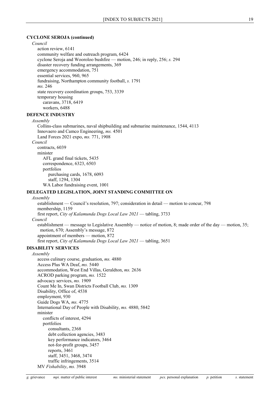#### **CYCLONE SEROJA (continued)**

#### *Council*

action review, 6141 community welfare and outreach program, 6424 cyclone Seroja and Wooroloo bushfire — motion, 246; in reply, 256; *s.* 294 disaster recovery funding arrangements, 369 emergency accommodation, 751 essential services, 960, 965 fundraising, Northampton community football, *s.* 1791 *ms.* 246 state recovery coordination groups, 753, 3339 temporary housing caravans, 3718, 6419 workers, 6488

# **DEFENCE INDUSTRY**

*Assembly*

Collins-class submarines, naval shipbuilding and submarine maintenance, 1544, 4113 Innovaero and Camco Engineering, *ms.* 4501 Land Forces 2021 expo, *ms.* 771, 1908 *Council* contracts, 6039 minister AFL grand final tickets, 5435 correspondence, 6323, 6503 portfolios purchasing cards, 1678, 6093 staff, 1294, 1304 WA Labor fundraising event, 1001

#### **DELEGATED LEGISLATION, JOINT STANDING COMMITTEE ON**

#### *Assembly*

establishment — Council's resolution, 797; consideration in detail — motion to concur, 798 membership, 1159 first report, *City of Kalamunda Dogs Local Law 2021* — tabling, 3733 *Council* establishment — message to Legislative Assembly — notice of motion, 8; made order of the day — motion, 35; motion, 670; Assembly's message, 872 appointment of members — motion, 872 first report, *City of Kalamunda Dogs Local Law 2021* — tabling, 3651

#### **DISABILITY SERVICES**

*Assembly*

access culinary course, graduation, *ms.* 4880 Access Plus WA Deaf, *ms.* 5440 accommodation, West End Villas, Geraldton, *ms.* 2636 ACROD parking program, *ms.* 1522 advocacy services, *ms.* 1909 Count Me In, Swan Districts Football Club, *ms.* 1309 Disability, Office of, 4538 employment, 930 Guide Dogs WA, *ms.* 4775 International Day of People with Disability, *ms.* 4880, 5842 minister conflicts of interest, 4294 portfolios consultants, 2368 debt collection agencies, 3483 key performance indicators, 3464 not-for-profit groups, 3457 reports, 3461 staff, 3451, 3468, 3474 traffic infringements, 3514

MV *Fishability*, *ms.* 3948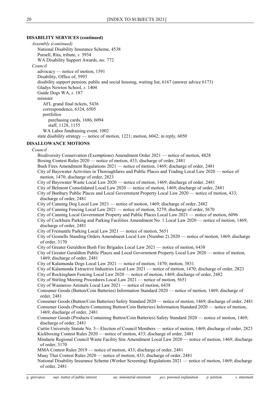#### **DISABILITY SERVICES (continued)**

*Assembly (continued)* National Disability Insurance Scheme, 4538 Pursell, Rita, tribute, *s.* 5934 WA Disability Support Awards, *ms.* 772 *Council* advocacy — notice of motion, 1591 Disability, Office of, 5993 disability support pension, public and social housing, waiting list, 6167 (answer advice 6173) Gladys Newton School, *s.* 1404 Guide Dogs WA, *s.* 187 minister AFL grand final tickets, 5436 correspondence, 6324, 6505 portfolios purchasing cards, 1686, 6094 staff, 1128, 1155 WA Labor fundraising event, 1002 state disability strategy — notice of motion, 1221; motion, 6042; in reply, 6050 **DISALLOWANCE MOTIONS** *Council* Biodiversity Conservation (Exemptions) Amendment Order 2021 — notice of motion, 4828 Boxing Contest Rules 2020 — notice of motion, 433; discharge of order, 2481 Bush Fires Amendment Regulations 2021 — notice of motion, 1469; discharge of order, 2481 City of Bayswater Activities in Thoroughfares and Public Places and Trading Local Law 2020 — notice of motion, 1470; discharge of order, 2823 City of Bayswater Waste Local Law 2020 — notice of motion, 1469; discharge of order, 2481 City of Belmont Consolidated Local Law 2020 — notice of motion, 1469; discharge of order, 2481 City of Bunbury Public Places and Local Government Property Local Law 2020 — notice of motion, 433; discharge of order, 2481 City of Canning Dog Local Law 2021 — notice of motion, 1469; discharge of order, 2482 City of Canning Fencing Local Law 2021 — notice of motion, 5279; discharge of order, 5670 City of Canning Local Government Property and Public Places Local Law 2021 — notice of motion, 6096 City of Cockburn Parking and Parking Facilities Amendment No. 1 Local Law 2020 — notice of motion, 1469; discharge of order, 2481 City of Fremantle Parking Local Law 2021 — notice of motion, 5651 City of Gosnells Standing Orders Amendment Local Law (Number 2) 2020 — notice of motion, 1469; discharge

of order, 3170

City of Greater Geraldton Bush Fire Brigades Local Law 2021 — notice of motion, 6438

City of Greater Geraldton Public Places and Local Government Property Local Law 2020 — notice of motion, 1469; discharge of order, 2481

City of Kalamunda Dogs Local Law 2021 — notice of motion, 1470; motion, 3831

City of Kalamunda Extractive Industries Local Law 2021 — notice of motion, 1470; discharge of order, 2823

- City of Rockingham Fencing Local Law 2020 notice of motion, 1469; discharge of order, 2482
- City of Stirling Meeting Procedures Local Law 2021 notice of motion, 5651

City of Wanneroo Animals Local Law 2021 — notice of motion, 6438

Consumer Goods (Button/Coin Batteries) Information Standard 2020 — notice of motion, 1469; discharge of order, 2481

Consumer Goods (Button/Coin Batteries) Safety Standard 2020 — notice of motion, 1469; discharge of order, 2481

Consumer Goods (Products Containing Button/Coin Batteries) Information Standard 2020 — notice of motion, 1469; discharge of order, 2481

Consumer Goods (Products Containing Button/Coin Batteries) Safety Standard 2020 — notice of motion, 1469; discharge of order, 2481

Curtin University Statute No. 5—Election of Council Members — notice of motion, 1469; discharge of order, 2823 Kickboxing Contest Rules 2020 — notice of motion, 433; discharge of order, 2481

Mindarie Regional Council Waste Facility Site Amendment Local Law 2020 — notice of motion, 1469; discharge of order, 3170

MMA Contest Rules 2019 — notice of motion, 433; discharge of order, 2481

Muay Thai Contest Rules 2020 — notice of motion, 433; discharge of order, 2481

National Disability Insurance Scheme (Worker Screening) Regulations 2021 — notice of motion, 1469; discharge of order, 2481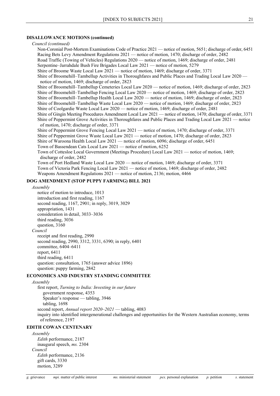# **DISALLOWANCE MOTIONS (continued)**

| Council (continued)                                                                                                                                      |
|----------------------------------------------------------------------------------------------------------------------------------------------------------|
| Non-Coronial Post-Mortem Examinations Code of Practice 2021 — notice of motion, 5651; discharge of order, 6451                                           |
| Racing Bets Levy Amendment Regulations 2021 — notice of motion, 1470; discharge of order, 2482                                                           |
| Road Traffic (Towing of Vehicles) Regulations 2020 — notice of motion, 1469; discharge of order, 2481                                                    |
| Serpentine-Jarrahdale Bush Fire Brigades Local Law 2021 — notice of motion, 5279                                                                         |
| Shire of Broome Waste Local Law 2021 — notice of motion, 1469; discharge of order, 3371                                                                  |
| Shire of Broomehill–Tambellup Activities in Thoroughfares and Public Places and Trading Local Law 2020 —                                                 |
| notice of motion, 1469; discharge of order, 2823                                                                                                         |
| Shire of Broomehill–Tambellup Cemeteries Local Law 2020 — notice of motion, 1469; discharge of order, 2823                                               |
| Shire of Broomehill-Tambellup Fencing Local Law 2020 — notice of motion, 1469; discharge of order, 2823                                                  |
| Shire of Broomehill–Tambellup Health Local Law 2020 — notice of motion, 1469; discharge of order, 2823                                                   |
| Shire of Broomehill–Tambellup Waste Local Law 2020 — notice of motion, 1469; discharge of order, 2823                                                    |
| Shire of Coolgardie Waste Local Law 2020 — notice of motion, 1469; discharge of order, 2481                                                              |
| Shire of Gingin Meeting Procedures Amendment Local Law 2021 — notice of motion, 1470; discharge of order, 3371                                           |
| Shire of Peppermint Grove Activities in Thoroughfares and Public Places and Trading Local Law 2021 — notice<br>of motion, 1470; discharge of order, 3371 |
| Shire of Peppermint Grove Fencing Local Law 2021 — notice of motion, 1470; discharge of order, 3371                                                      |
| Shire of Peppermint Grove Waste Local Law 2021 — notice of motion, 1470; discharge of order, 2823                                                        |
| Shire of Waroona Health Local Law 2021 — notice of motion, 6096; discharge of order, 6451                                                                |
| Town of Bassendean Cats Local Law 2021 — notice of motion, 6252                                                                                          |
| Town of Cottesloe Local Government (Meetings Procedure) Local Law 2021 — notice of motion, 1469;<br>discharge of order, 2482                             |
| Town of Port Hedland Waste Local Law 2020 — notice of motion, 1469; discharge of order, 3371                                                             |
| Town of Victoria Park Fencing Local Law 2021 — notice of motion, 1469; discharge of order, 2482                                                          |
| Weapons Amendment Regulations $2021$ — notice of motion, 2136; motion, 4466                                                                              |
| DOG AMENDMENT (STOP PUPPY FARMING) BILL 2021                                                                                                             |
| Assembly                                                                                                                                                 |
| notice of motion to introduce 1012                                                                                                                       |

notice of motion to introduce, 1013 introduction and first reading, 1167 second reading, 1167, 2901; in reply, 3019, 3029 appropriation, 1431 consideration in detail, 3033–3036 third reading, 3036 question, 3160 *Council* receipt and first reading, 2990 second reading, 2990, 3312, 3331, 6390; in reply, 6401 committee, 6404–6411 report, 6411 third reading, 6411 question: consultation, 1765 (answer advice 1896)

#### **ECONOMICS AND INDUSTRY STANDING COMMITTEE**

*Assembly*

first report, *Turning to India: Investing in our future* government response, 4353 Speaker's response — tabling, 3946 tabling, 1698 second report, *Annual report 2020–2021* — tabling, 4083 inquiry into identified intergenerational challenges and opportunities for the Western Australian economy, terms of reference, 2197

# **EDITH COWAN CENTENARY**

question: puppy farming, 2842

*Assembly Edith* performance, 2187 inaugural speech, *ms.* 2304 *Council Edith* performance, 2136 gift cards, 3330 motion, 3289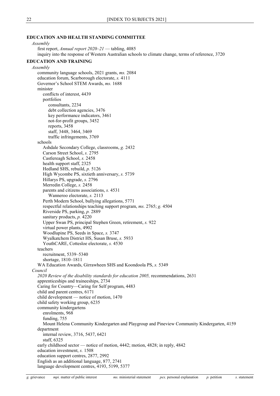### **EDUCATION AND HEALTH STANDING COMMITTEE**

*Assembly* first report, *Annual report 2020–21* — tabling, 4085 inquiry into the response of Western Australian schools to climate change, terms of reference, 3720 **EDUCATION AND TRAINING** *Assembly* community language schools, 2021 grants, *ms.* 2084 education forum, Scarborough electorate, *s.* 4111 Governor's School STEM Awards, *ms.* 1688 minister conflicts of interest, 4439 portfolios consultants, 2234 debt collection agencies, 3476 key performance indicators, 3461 not-for-profit groups, 3452 reports, 3458 staff, 3448, 3464, 3469 traffic infringements, 3769 schools Ashdale Secondary College, classrooms, *g.* 2432 Carson Street School, *s.* 2795 Castlereagh School, *s.* 2458 health support staff, 2325 Hedland SHS, rebuild, *p.* 5126 High Wycombe PS, sixtieth anniversary, *s.* 5739 Hillarys PS, upgrade, *s.* 2796 Merredin College, *s.* 2458 parents and citizens associations, *s.* 4531 Wanneroo electorate, *s.* 2113 Perth Modern School, bullying allegations, 5771 respectful relationships teaching support program, *ms.* 2765; *g.* 4504 Riverside PS, parking, *p.* 2889 sanitary products, *p.* 4220 Upper Swan PS, principal Stephen Green, retirement, *s.* 922 virtual power plants, 4902 Woodlupine PS, Seeds in Space, *s.* 3747 Wyalkatchem District HS, Susan Bruse, *s.* 5933 YouthCARE, Cottesloe electorate, *s.* 4530 teachers recruitment, 5339–5340 shortage, 1810–1811 WA Education Awards, Girrawheen SHS and Koondoola PS, *s.* 5349 *Council 2020 Review of the disability standards for education 2005,* recommendations, 2631 apprenticeships and traineeships, 2734 Caring for Country—Caring for Self program, 4483 child and parent centres, 6171 child development — notice of motion, 1470 child safety working group, 6235 community kindergartens enrolments, 968 funding, 755 Mount Helena Community Kindergarten and Playgroup and Pineview Community Kindergarten, 4159 department internal review, 3716, 5437, 6421 staff, 6325 early childhood sector — notice of motion, 4442; motion, 4828; in reply, 4842 education investment, *s.* 1508 education support centres, 2877, 2992 English as an additional language, 877, 2741 language development centres, 4193, 5199, 5377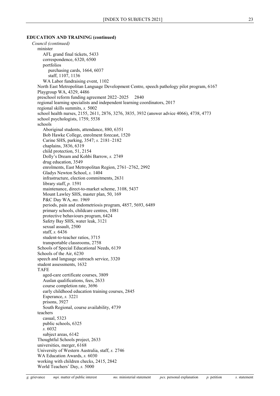#### **EDUCATION AND TRAINING (continued)**

*Council (continued)* minister AFL grand final tickets, 5433 correspondence, 6320, 6500 portfolios purchasing cards, 1664, 6037 staff, 1107, 1136 WA Labor fundraising event, 1102 North East Metropolitan Language Development Centre, speech pathology pilot program, 6167 Playgroup WA, 4329, 4486 preschool reform funding agreement 2022–2025 2840 regional learning specialists and independent learning coordinators, 2017 regional skills summits, *s.* 5002 school health nurses, 2155, 2611, 2876, 3276, 3835, 3932 (answer advice 4066), 4738, 4773 school psychologists, 1759, 5538 schools Aboriginal students, attendance, 880, 6351 Bob Hawke College, enrolment forecast, 1520 Carine SHS, parking, 3547; *s.* 2181–2182 chaplains, 3836, 6319 child protection, 51, 2154 Dolly's Dream and Kohbi Barrow, *s.* 2749 drug education, 3549 enrolments, East Metropolitan Region, 2761–2762, 2992 Gladys Newton School, *s.* 1404 infrastructure, election commitments, 2631 library staff, *p.* 1591 maintenance, direct-to-market scheme, 3108, 5437 Mount Lawley SHS, master plan, 50, 169 P&C Day WA, *ms.* 1969 periods, pain and endometriosis program, 4857, 5693, 6489 primary schools, childcare centres, 1081 protective behaviours program, 6424 Safety Bay SHS, water leak, 3121 sexual assault, 2500 staff, *s.* 6436 student-to-teacher ratios, 3715 transportable classrooms, 2758 Schools of Special Educational Needs, 6139 Schools of the Air, 6230 speech and language outreach service, 3320 student assessments, 1632 TAFE aged-care certificate courses, 3809 Auslan qualifications, fees, 2633 course completion rate, 3696 early childhood education training courses, 2845 Esperance, *s.* 3221 prisons, 3927 South Regional, course availability, 4739 teachers casual, 5323 public schools, 6325 *s.* 6032 subject areas, 6142 Thoughtful Schools project, 2633 universities, merger, 6168 University of Western Australia, staff, *s.* 2746 WA Education Awards, *s.* 6030 working with children checks, 2415, 2842 World Teachers' Day, *s.* 5000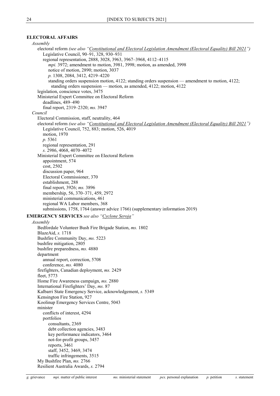# <span id="page-24-1"></span>**ELECTORAL AFFAIRS**

<span id="page-24-0"></span>

| Assembly                                                                                                                                                            |
|---------------------------------------------------------------------------------------------------------------------------------------------------------------------|
| electoral reform (see also "Constitutional and Electoral Legislation Amendment (Electoral Equality) Bill 2021")<br>Legislative Council, 90-91, 328, 930-931         |
| regional representation, 2888, 3028, 3963, 3967-3968, 4112-4115                                                                                                     |
| mpi. 3972; amendment to motion, 3981, 3998; motion, as amended, 3998                                                                                                |
| notice of motion, 2890; motion, 3037                                                                                                                                |
| p. 1308, 2084, 3412, 4219-4220                                                                                                                                      |
| standing orders suspension motion, 4122; standing orders suspension — amendment to motion, 4122;                                                                    |
| standing orders suspension — motion, as amended, 4122; motion, 4122                                                                                                 |
| legislation, conscience votes, 3475                                                                                                                                 |
| Ministerial Expert Committee on Electoral Reform                                                                                                                    |
| deadlines, 489-490                                                                                                                                                  |
| final report, 2319-2320; ms. 3947                                                                                                                                   |
| Council                                                                                                                                                             |
| Electoral Commission, staff, neutrality, 464                                                                                                                        |
| electoral reform (see also "Constitutional and Electoral Legislation Amendment (Electoral Equality) Bill 2021")<br>Legislative Council, 752, 883; motion, 526, 4019 |
| motion, 1970                                                                                                                                                        |
| p. 5361                                                                                                                                                             |
| regional representation, 291                                                                                                                                        |
| s. 2986, 4068, 4070-4072                                                                                                                                            |
| Ministerial Expert Committee on Electoral Reform                                                                                                                    |
| appointment, 574                                                                                                                                                    |
| cost, 2502                                                                                                                                                          |
| discussion paper, 964                                                                                                                                               |
| Electoral Commissioner, 370                                                                                                                                         |
| establishment, 288                                                                                                                                                  |
| final report, 3926; ms. 3896                                                                                                                                        |
| membership, 56, 370-371, 459, 2972                                                                                                                                  |
| ministerial communications, 461                                                                                                                                     |
| regional WA Labor members, 368                                                                                                                                      |
| submissions, 1758, 1764 (answer advice 1766) (supplementary information 2019)                                                                                       |
| <b>EMERGENCY SERVICES</b> see also "Cyclone Seroja"                                                                                                                 |
| Assembly                                                                                                                                                            |
| Bedfordale Volunteer Bush Fire Brigade Station, ms. 1802                                                                                                            |
| BlazeAid, s. 1718                                                                                                                                                   |
| Bushfire Community Day, ms. 5223                                                                                                                                    |
| bushfire mitigation, 2805                                                                                                                                           |
| bushfire preparedness, ms. 4880                                                                                                                                     |
| department                                                                                                                                                          |
| annual report, correction, 5708                                                                                                                                     |
| conference, ms. 4080<br>firefighters, Canadian deployment, ms. 2429                                                                                                 |
| fleet, 5773                                                                                                                                                         |
| Home Fire Awareness campaign, ms. 2880                                                                                                                              |
| International Firefighters' Day, ms. 87                                                                                                                             |
| Kalbarri State Emergency Service, acknowledgement, s. 5349                                                                                                          |
| Kensington Fire Station, 927                                                                                                                                        |
| Koolinup Emergency Services Centre, 5043                                                                                                                            |
| minister                                                                                                                                                            |
| conflicts of interest, 4294                                                                                                                                         |
| portfolios                                                                                                                                                          |
| consultants, 2369                                                                                                                                                   |
| debt collection agencies, 3483                                                                                                                                      |
| key performance indicators, 3464                                                                                                                                    |
| not-for-profit groups, 3457                                                                                                                                         |
| reports, 3461                                                                                                                                                       |
| staff, 3452, 3469, 3474                                                                                                                                             |
| traffic infringements, 3515<br>My Bushfire Plan, ms. 2766                                                                                                           |
| Resilient Australia Awards, s. 2794                                                                                                                                 |
|                                                                                                                                                                     |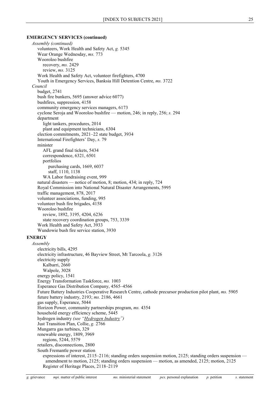#### **EMERGENCY SERVICES (continued)**

*Assembly (continued)* volunteers, Work Health and Safety Act, *g.* 5345 Wear Orange Wednesday, *ms.* 773 Wooroloo bushfire recovery, *ms.* 2429 review, *ms.* 3125 Work Health and Safety Act, volunteer firefighters, 4700 Youth in Emergency Services, Banksia Hill Detention Centre, *ms.* 3722 *Council* budget, 2741 bush fire bunkers, 5695 (answer advice 6077) bushfires, suppression, 4158 community emergency services managers, 6173 cyclone Seroja and Wooroloo bushfire — motion, 246; in reply, 256; *s.* 294 department light tankers, procedures, 2014 plant and equipment technicians, 6304 election commitments, 2021–22 state budget, 3934 International Firefighters' Day, *s.* 79 minister AFL grand final tickets, 5434 correspondence, 6321, 6501 portfolios purchasing cards, 1669, 6037 staff, 1110, 1138 WA Labor fundraising event, 999 natural disasters — notice of motion, 8; motion, 434; in reply, 724 Royal Commission into National Natural Disaster Arrangements, 5995 traffic management, 878, 2017 volunteer associations, funding, 995 volunteer bush fire brigades, 4158 Wooroloo bushfire review, 1892, 3195, 4204, 6236 state recovery coordination groups, 753, 3339 Work Health and Safety Act, 3933 Wundowie bush fire service station, 3930 **ENERGY** *Assembly* electricity bills, 4295 electricity infrastructure, 46 Bayview Street, Mt Tarcoola, *g.* 3126 electricity supply Kalbarri, 2660 Walpole, 3028 energy policy, 1541 Energy Transformation Taskforce, *ms.* 1003 Esperance Gas Distribution Company, 4565–4566 Future Battery Industries Cooperative Research Centre, cathode precursor production pilot plant, *ms.* 5905 future battery industry, 2193; *ms.* 2186, 4661 gas supply, Esperance, 5044 Horizon Power, community partnerships program, *ms.* 4354 household energy efficiency scheme, 5445 hydrogen industry *(see ["Hydrogen Industry"](#page-38-0))* Just Transition Plan, Collie, *g.* 2766 Mungarra gas turbines, 329 renewable energy, 1809, 3969 regions, 5244, 5579 retailers, disconnections, 2800 South Fremantle power station expressions of interest, 2115–2116; standing orders suspension motion, 2125; standing orders suspension amendment to motion, 2125; standing orders suspension — motion, as amended, 2125; motion, 2125 Register of Heritage Places, 2118–2119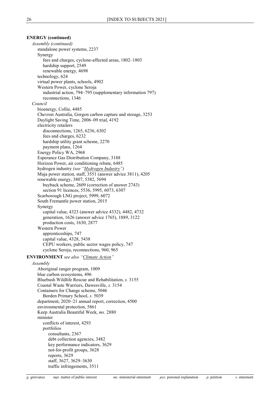# **ENERGY (continued)** *Assembly (continued)* standalone power systems, 2237 Synergy fees and charges, cyclone-affected areas, 1802–1803 hardship support, 2549 renewable energy, 4698 technology, 624 virtual power plants, schools, 4902 Western Power, cyclone Seroja industrial action, 794–795 (supplementary information 797) reconnections, 1346 *Council* bioenergy, Collie, 4485 Chevron Australia, Gorgon carbon capture and storage, 3253 Daylight Saving Time, 2006–09 trial, 4192 electricity retailers disconnections, 1265, 6236, 6302 fees and charges, 6232 hardship utility grant scheme, 2270 payment plans, 1264 Energy Policy WA, 2968 Esperance Gas Distribution Company, 3188 Horizon Power, air conditioning rebate, 6485 hydrogen industry *(see ["Hydrogen Industry"](#page-38-0))* Muja power station, staff, 3551 (answer advice 3811), 4205 renewable energy, 3807, 5382, 5694 buyback scheme, 2609 (correction of answer 2743) section 91 licences, 5536, 5995, 6073, 6307 Scarborough LNG project, 5999, 6072 South Fremantle power station, 2015 Synergy capital value, 4323 (answer advice 4332), 4482, 4732 generation, 1626 (answer advice 1765), 1889, 3122 production costs, 1630, 2877 Western Power apprenticeships, 747 capital value, 4328, 5438 CEPU workers, public sector wages policy, 747 cyclone Seroja, reconnections, 960, 965 **ENVIRONMENT** *see also ["Climate Action"](#page-9-0) Assembly* Aboriginal ranger program, 1009

<span id="page-26-0"></span>blue carbon ecosystems, 496 Bluebush Wildlife Rescue and Rehabilitation, *s.* 3155 Coastal Waste Warriors, Dawesville, *s.* 3154 Containers for Change scheme, 5046 Borden Primary School, *s.* 5039 department, 2020–21 annual report, correction, 4500 environmental protection, 5861 Keep Australia Beautiful Week, *ms.* 2880 minister conflicts of interest, 4293 portfolios consultants, 2367 debt collection agencies, 3482 key performance indicators, 3629 not-for-profit groups, 3628 reports, 3629 staff, 3627, 3629–3630 traffic infringements, 3511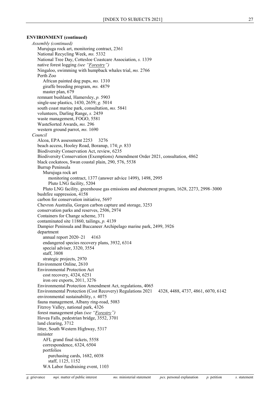#### **ENVIRONMENT (continued)**

*Assembly (continued)* Murujuga rock art, monitoring contract, 2361 National Recycling Week, *ms.* 5332 National Tree Day, Cottesloe Coastcare Association, *s.* 1339 native forest logging *(see ["Forestry"](#page-30-0))* Ningaloo, swimming with humpback whales trial, *ms.* 2766 Perth Zoo African painted dog pups, *ms.* 1310 giraffe breeding program, *ms.* 4879 master plan, 679 remnant bushland, Hamersley, *p.* 5903 single-use plastics, 1430, 2659; *g.* 5014 south coast marine park, consultation, *ms.* 5841 volunteers, Darling Range, *s.* 2459 waste management, FOGO, 5581 WasteSorted Awards, *ms.* 296 western ground parrot, *ms.* 1690 *Council* Alcoa, EPA assessment 2253 3276 beach access, Hooley Road, Boranup, 174; *p.* 833 Biodiversity Conservation Act, review, 6235 Biodiversity Conservation (Exemptions) Amendment Order 2021, consultation, 4862 black cockatoos, Swan coastal plain, 290, 576, 5538 Burrup Peninsula Murujuga rock art monitoring contract, 1377 (answer advice 1499), 1498, 2995 Pluto LNG facility, 5204 Pluto LNG facility, greenhouse gas emissions and abatement program, 1628, 2273, 2998–3000 bushfire suppression, 4158 carbon for conservation initiative, 5697 Chevron Australia, Gorgon carbon capture and storage, 3253 conservation parks and reserves, 2506, 2974 Containers for Change scheme, 371 contaminated site 11860, tailings, *p.* 4139 Dampier Peninsula and Buccaneer Archipelago marine park, 2499, 3926 department annual report  $2020-21$  4163 endangered species recovery plans, 3932, 6314 special adviser, 3320, 3554 staff, 3808 strategic projects, 2970 Environment Online, 2610 Environmental Protection Act cost recovery, 4324, 6251 iron ore exports, 2011, 3276 Environmental Protection Amendment Act, regulations, 4065 Environmental Protection (Cost Recovery) Regulations 2021 4328, 4488, 4737, 4861, 6070, 6142 environmental sustainability, *s.* 4075 fauna management, Albany ring-road, 5083 Fitzroy Valley, national park, 4326 forest management plan *(see ["Forestry"](#page-30-0))* Hovea Falls, pedestrian bridge, 3552, 3701 land clearing, 3712 litter, South Western Highway, 5317 minister AFL grand final tickets, 5558 correspondence, 6324, 6504 portfolios purchasing cards, 1682, 6038 staff, 1125, 1152 WA Labor fundraising event, 1103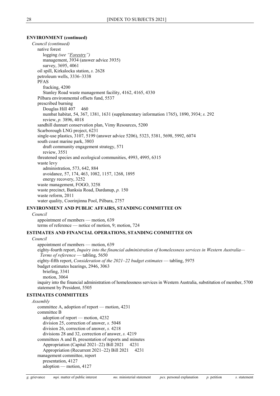#### **ENVIRONMENT (continued)**

*Council (continued)* native forest logging *(see ["Forestry"](#page-30-0))* management, 3934 (answer advice 3935) survey, 3695, 4061 oil spill, Kirkalocka station, *s.* 2628 petroleum wells, 3336–3338 PFAS fracking, 4200 Stanley Road waste management facility, 4162, 4165, 4330 Pilbara environmental offsets fund, 5537 prescribed burning Douglas Hill 407 460 numbat habitat, 54, 367, 1381, 1631 (supplementary information 1765), 1890, 3934; *s.* 292 review, *p.* 3896, 4018 sandhill dunnart conservation plan, Vimy Resources, 5200 Scarborough LNG project, 6231 single-use plastics, 3107, 5199 (answer advice 5206), 5323, 5381, 5698, 5992, 6074 south coast marine park, 3803 draft community engagement strategy, 571 review, 3551 threatened species and ecological communities, 4993, 4995, 6315 waste levy administration, 573, 642, 884 avoidance, 57, 174, 463, 1082, 1157, 1268, 1895 energy recovery, 3252 waste management, FOGO, 3258 waste precinct, Banksia Road, Dardanup, *p.* 150 waste reform, 2011 water quality, Coorinjinna Pool, Pilbara, 2757

#### **ENVIRONMENT AND PUBLIC AFFAIRS, STANDING COMMITTEE ON**

*Council*

appointment of members — motion, 639 terms of reference — notice of motion, 9; motion, 724

#### **ESTIMATES AND FINANCIAL OPERATIONS, STANDING COMMITTEE ON**

*Council* appointment of members — motion, 639 eighty-fourth report, *Inquiry into the financial administration of homelessness services in Western Australia— Terms of reference* — tabling, 5650 eighty-fifth report, *Consideration of the 2021–22 budget estimates* — tabling, 5975 budget estimates hearings, 2946, 3063 briefing, 3341 motion, 3064 inquiry into the financial administration of homelessness services in Western Australia, substitution of member, 5700 statement by President, 5505

#### **ESTIMATES COMMITTEES**

*Assembly* committee A, adoption of report — motion, 4231 committee B adoption of report — motion, 4232 division 25, correction of answer, *s.* 5048 division 26, correction of answer, *s.* 4218 divisions 28 and 32, correction of answer, *s.* 4219 committees A and B, presentation of reports and minutes Appropriation (Capital 2021-22) Bill 2021 4231 Appropriation (Recurrent 2021–22) Bill 2021 4231 management committee, report presentation, 4127 adoption — motion, 4127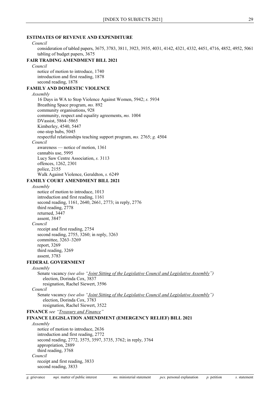# **ESTIMATES OF REVENUE AND EXPENDITURE** *Council* consideration of tabled papers, 3675, 3783, 3811, 3923, 3935, 4031, 4142, 4321, 4332, 4451, 4716, 4852, 4952, 5061 tabling of budget papers, 3675 **FAIR TRADING AMENDMENT BILL 2021** *Council* notice of motion to introduce, 1740 introduction and first reading, 1878 second reading, 1878 **FAMILY AND DOMESTIC VIOLENCE** *Assembly* 16 Days in WA to Stop Violence Against Women, 5942; *s.* 5934 Breathing Space program, *ms.* 892 community organisations, 928 community, respect and equality agreements, *ms.* 1004 DVassist, 5864–5865 Kimberley, 4540, 5447 one-stop hubs, 5045 respectful relationships teaching support program, *ms.* 2765; *g.* 4504 *Council* awareness — notice of motion, 1361 cannabis use, 5995 Lucy Saw Centre Association, *s.* 3113 offences, 1262, 2301 police, 2155 Walk Against Violence, Geraldton, *s.* 6249 **FAMILY COURT AMENDMENT BILL 2021** *Assembly* notice of motion to introduce, 1013 introduction and first reading, 1161 second reading, 1161, 2640, 2661, 2773; in reply, 2776 third reading, 2778 returned, 3447 assent, 3847 *Council* receipt and first reading, 2754 second reading, 2755, 3260; in reply, 3263 committee, 3263–3269 report, 3269 third reading, 3269 assent, 3783 **FEDERAL GOVERNMENT** *Assembly* Senate vacancy *(see also ["Joint Sitting of the Legislative Council and Legislative Assembly"](#page-40-1))* election, Dorinda Cox, 3837 resignation, Rachel Siewert, 3596 *Council* Senate vacancy *(see also ["Joint Sitting of the Legislative Council and Legislative Assembly"](#page-40-1))* election, Dorinda Cox, 3783 resignation, Rachel Siewert, 3522 **FINANCE** *see ["Treasury and Finance"](#page-67-0)* **FINANCE LEGISLATION AMENDMENT (EMERGENCY RELIEF) BILL 2021** *Assembly* notice of motion to introduce, 2636 introduction and first reading, 2772 second reading, 2772, 3575, 3597, 3735, 3762; in reply, 3764 appropriation, 2889 third reading, 3768 *Council* receipt and first reading, 3833

second reading, 3833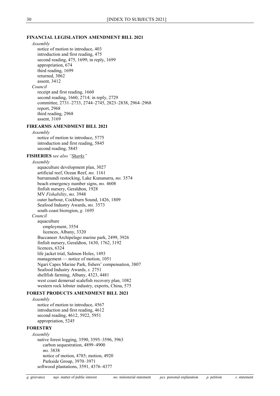#### **FINANCIAL LEGISLATION AMENDMENT BILL 2021**

```
Assembly
     notice of motion to introduce, 403
     introduction and first reading, 475
     second reading, 475, 1699; in reply, 1699
     appropriation, 674
     third reading, 1699
     returned, 3062
     assent, 3412
  Council
     receipt and first reading, 1660
     second reading, 1660, 2714; in reply, 2729
     committee, 2731–2733, 2744–2745, 2823–2838, 2964–2968
     report, 2968
     third reading, 2968
     assent, 3169
FIREARMS AMENDMENT BILL 2021
  Assembly
     notice of motion to introduce, 5775
     introduction and first reading, 5845
     second reading, 5845
FISHERIES see also "Sharks"
  Assembly
     aquaculture development plan, 3027
     artificial reef, Ocean Reef, ms. 1161
     barramundi restocking, Lake Kununurra, ms. 3574
     beach emergency number signs, ms. 4608
     finfish nursery, Geraldton, 1928
     MV Fishability, ms. 3948
     outer harbour, Cockburn Sound, 1426, 1809
     Seafood Industry Awards, ms. 3573
     south coast bioregion, g. 1695
  Council
     aquaculture
        employment, 3554
        licences, Albany, 3320
     Buccaneer Archipelago marine park, 2499, 3926
     finfish nursery, Geraldton, 1630, 1762, 3192
     licences, 6324
     life jacket trial, Salmon Holes, 1493
     management — notice of motion, 1051
     Ngari Capes Marine Park, fishers' compensation, 3807
     Seafood Industry Awards, s. 2751
     shellfish farming, Albany, 4323, 4481
     west coast demersal scalefish recovery plan, 1082
     western rock lobster industry, exports, China, 575
FOREST PRODUCTS AMENDMENT BILL 2021
```

```
Assembly
```
notice of motion to introduce, 4567 introduction and first reading, 4612 second reading, 4612, 5922, 5951 appropriation, 5245

#### <span id="page-30-0"></span>**FORESTRY**

*Assembly* native forest logging, 3590, 3595–3596, 3963 carbon sequestration, 4899–4900 *ms.* 3838 notice of motion, 4785; motion, 4920 Parkside Group, 3970–3971 softwood plantations, 3591, 4376–4377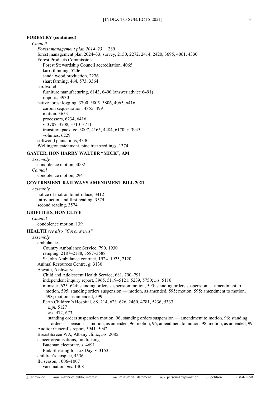#### **FORESTRY (continued)**

#### *Council*

*Forest management plan 2014–23* 289 forest management plan 2024–33, survey, 2150, 2272, 2414, 2420, 3695, 4061, 4330 Forest Products Commission Forest Stewardship Council accreditation, 4065 karri thinning, 5206 sandalwood production, 2276 sharefarming, 464, 573, 3364 hardwood furniture manufacturing, 6143, 6490 (answer advice 6491) imports, 3930 native forest logging, 3700, 3805–3806, 4065, 6416 carbon sequestration, 4855, 4991 motion, 3653 processors, 6234, 6416 *s.* 3707–3708, 3710–3711 transition package, 3807, 4165, 4484, 6170; *s.* 3945 volumes, 6229 softwood plantations, 4330 Wellington catchment, pine tree seedlings, 1374

# **GAYFER, HON HARRY WALTER "MICK", AM**

*Assembly* condolence motion, 3002 *Council* condolence motion, 2941

#### **GOVERNMENT RAILWAYS AMENDMENT BILL 2021**

*Assembly* notice of motion to introduce, 3412 introduction and first reading, 3574 second reading, 3574

#### **GRIFFITHS, HON CLIVE**

*Council*

condolence motion, 139

#### **HEALTH** *see also ["Coronavirus"](#page-11-0)*

*Assembly* ambulances Country Ambulance Service, 790, 1930 ramping, 2187–2188, 3587–3588 St John Ambulance contract, 1924–1925, 2120 Animal Resources Centre, *g.* 3130 Aswath, Aishwarya Child and Adolescent Health Service, 681, 790–791 independent inquiry report, 3965, 5119–5121, 5239, 5750; *ms.* 5116 minister, 623–624; standing orders suspension motion, 595; standing orders suspension — amendment to motion, 595; standing orders suspension — motion, as amended, 595; motion, 595; amendment to motion, 598; motion, as amended, 599 Perth Children's Hospital, 88, 214, 623–626, 2460, 4781, 5236, 5333 *mpi.* 5127 *ms.* 472, 673 standing orders suspension motion, 96; standing orders suspension — amendment to motion, 96; standing orders suspension — motion, as amended, 96; motion, 96; amendment to motion, 98; motion, as amended, 99 Auditor General's report, 5941–5942 BreastScreen WA, Albany clinic, *ms.* 2085 cancer organisations, fundraising Bateman electorate, *s.* 4691 Pink Shearing for Liz Day, *s.* 3153 children's hospice, 4536 flu season, 1006–1007

vaccination, *ms.* 1308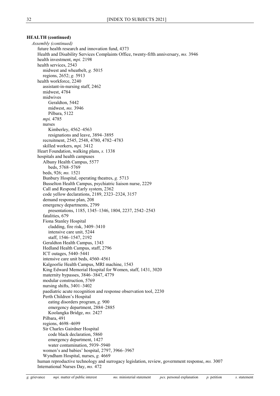*Assembly (continued)* future health research and innovation fund, 4373 Health and Disability Services Complaints Office, twenty-fifth anniversary, *ms.* 3946 health investment, *mpi.* 2198 health services, 2543 midwest and wheatbelt, *g.* 5015 regions, 2652; *g.* 5913 health workforce, 2240 assistant-in-nursing staff, 2462 midwest, 4784 midwives Geraldton, 5442 midwest, *ms.* 3946 Pilbara, 5122 *mpi.* 4785 nurses Kimberley, 4562–4563 resignations and leave, 3894–3895 recruitment, 2545, 2548, 4780, 4782–4783 skilled workers, *mpi.* 3412 Heart Foundation, walking plans, *s.* 1338 hospitals and health campuses Albany Health Campus, 5577 beds, 5768–5769 beds, 926; *ms.* 1521 Bunbury Hospital, operating theatres, *g.* 5713 Busselton Health Campus, psychiatric liaison nurse, 2229 Call and Respond Early system, 2362 code yellow declarations, 2189, 2323–2324, 3157 demand response plan, 208 emergency departments, 2799 presentations, 1185, 1345–1346, 1804, 2237, 2542–2543 fatalities, 679 Fiona Stanley Hospital cladding, fire risk, 3409–3410 intensive care unit, 5244 staff, 1546–1547, 2192 Geraldton Health Campus, 1343 Hedland Health Campus, staff, 2796 ICT outages, 5440–5441 intensive care unit beds, 4560–4561 Kalgoorlie Health Campus, MRI machine, 1543 King Edward Memorial Hospital for Women, staff, 1431, 3020 maternity bypasses, 3846–3847, 4779 modular construction, 5769 nursing shifts, 3401–3402 paediatric acute recognition and response observation tool, 2230 Perth Children's Hospital eating disorders program, *g.* 900 emergency department, 2884–2885 Koolangka Bridge, *ms.* 2427 Pilbara, 491 regions, 4698–4699 Sir Charles Gairdner Hospital code black declaration, 5860 emergency department, 1427 water contamination, 5939–5940 women's and babies' hospital, 2797, 3966–3967 Wyndham Hospital, nurses, *g.* 4669 human reproductive technology and surrogacy legislation, review, government response, *ms.* 3007 International Nurses Day, *ms.* 472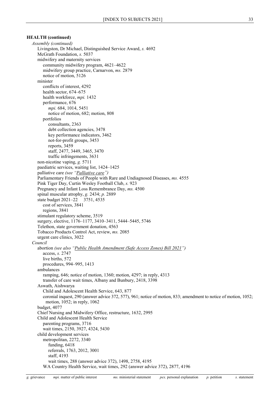*Assembly (continued)* Livingston, Dr Michael, Distinguished Service Award, *s.* 4692 McGrath Foundation, *s.* 5037 midwifery and maternity services community midwifery program, 4621–4622 midwifery group practice, Carnarvon, *ms.* 2879 notice of motion, 5126 minister conflicts of interest, 4292 health sector, 674–675 health workforce, *mpi.* 1432 performance, 676 *mpi.* 684, 1014, 5451 notice of motion, 682; motion, 808 portfolios consultants, 2363 debt collection agencies, 3478 key performance indicators, 3462 not-for-profit groups, 3453 reports, 3459 staff, 2477, 3449, 3465, 3470 traffic infringements, 3631 non-nicotine vaping, *g.* 5711 paediatric services, waiting list, 1424–1425 palliative care *(see ["Palliative care"](#page-51-0))* Parliamentary Friends of People with Rare and Undiagnosed Diseases, *ms.* 4555 Pink Tiger Day, Curtin Wesley Football Club, *s.* 923 Pregnancy and Infant Loss Remembrance Day, *ms.* 4500 spinal muscular atrophy, *g.* 2434; *p.* 2889 state budget 2021–22 3751, 4535 cost of services, 3841 regions, 3841 stimulant regulatory scheme, 3519 surgery, elective, 1176–1177, 3410–3411, 5444–5445, 5746 Telethon, state government donation, 4563 Tobacco Products Control Act, review, *ms.* 2085 urgent care clinics, 3022 *Council* abortion *(see also ["Public Health Amendment \(Safe Access](#page-57-0) Zones) Bill 2021")* access, *s.* 2747 live births, 572 procedures, 994–995, 1413 ambulances ramping, 646; notice of motion, 1360; motion, 4297; in reply, 4313 transfer of care wait times, Albany and Bunbury, 2418, 3398 Aswath, Aishwarya Child and Adolescent Health Service, 643, 877 coronial inquest, 290 (answer advice 372, 577), 961; notice of motion, 833; amendment to notice of motion, 1052; motion, 1052; in reply, 1062 budget, 4077 Chief Nursing and Midwifery Office, restructure, 1632, 2995 Child and Adolescent Health Service parenting programs, 3716 wait times, 2150, 3927, 4324, 5430 child development services metropolitan, 2272, 3340 funding, 6418 referrals, 1763, 2012, 3001 staff, 4193 wait times, 288 (answer advice 372), 1498, 2758, 4195 WA Country Health Service, wait times, 292 (answer advice 372), 2877, 4196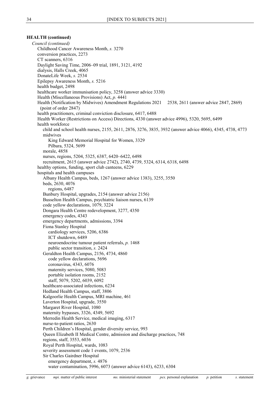*Council (continued)* Childhood Cancer Awareness Month, *s.* 3270 conversion practices, 2273 CT scanners, 6316 Daylight Saving Time, 2006–09 trial, 1891, 3121, 4192 dialysis, Halls Creek, 4065 DonateLife Week, *s.* 2534 Epilepsy Awareness Month, *s.* 5216 health budget, 2498 healthcare worker immunisation policy, 3258 (answer advice 3330) Health (Miscellaneous Provisions) Act, *p.* 4441 Health (Notification by Midwives) Amendment Regulations 2021 2538, 2611 (answer advice 2847, 2869) (point of order 2847) health practitioners, criminal conviction disclosure, 6417, 6488 Health Worker (Restrictions on Access) Directions, 4330 (answer advice 4996), 5320, 5695, 6499 health workforce child and school health nurses, 2155, 2611, 2876, 3276, 3835, 3932 (answer advice 4066), 4345, 4738, 4773 midwives King Edward Memorial Hospital for Women, 3329 Pilbara, 5324, 5699 morale, 4858 nurses, regions, 5204, 5325, 6387, 6420–6422, 6498 recruitment, 2615 (answer advice 2742), 2740, 4739, 5324, 6314, 6318, 6498 healthy options, funding, sport club canteens, 6229 hospitals and health campuses Albany Health Campus, beds, 1267 (answer advice 1383), 3255, 3550 beds, 2630, 4076 regions, 6487 Bunbury Hospital, upgrades, 2154 (answer advice 2156) Busselton Health Campus, psychiatric liaison nurses, 6139 code yellow declarations, 1079, 3224 Dongara Health Centre redevelopment, 3277, 4350 emergency codes, 4343 emergency departments, admissions, 3394 Fiona Stanley Hospital cardiology services, 5206, 6386 ICT shutdown, 6489 neuroendocrine tumour patient referrals, *p.* 1468 public sector transition, *s.* 2424 Geraldton Health Campus, 2156, 4734, 4860 code yellow declarations, 5696 coronavirus, 4343, 6076 maternity services, 5080, 5083 portable isolation rooms, 2152 staff, 5079, 5202, 6039, 6092 healthcare-associated infections, 6234 Hedland Health Campus, staff, 3806 Kalgoorlie Health Campus, MRI machine, 461 Laverton Hospital, upgrade, 3550 Margaret River Hospital, 1080 maternity bypasses, 3326, 4349, 5692 Merredin Health Service, medical imaging, 6317 nurse-to-patient ratios, 2630 Perth Children's Hospital, gender diversity service, 993 Queen Elizabeth II Medical Centre, admission and discharge practices, 748 regions, staff, 3553, 6036 Royal Perth Hospital, wards, 1083 severity assessment code 1 events, 1079, 2536 Sir Charles Gairdner Hospital emergency department, *s.* 4876 water contamination, 5996, 6073 (answer advice 6143), 6233, 6304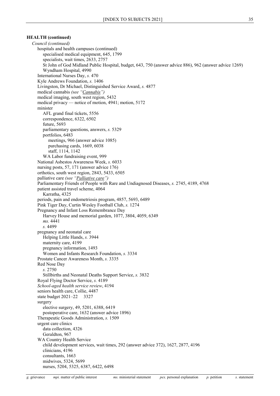*Council (continued)* hospitals and health campuses (continued) specialised medical equipment, 645, 1799 specialists, wait times, 2633, 2757 St John of God Midland Public Hospital, budget, 643, 750 (answer advice 886), 962 (answer advice 1269) Wyndham Hospital, 4990 International Nurses Day, *s.* 470 Kyle Andrews Foundation, *s.* 1406 Livingston, Dr Michael, Distinguished Service Award, *s.* 4877 medical cannabis *(see ["Cannabis"](#page-6-0))* medical imaging, south west region, 5432 medical privacy — notice of motion, 4941; motion, 5172 minister AFL grand final tickets, 5556 correspondence, 6322, 6502 future, 5693 parliamentary questions, answers, *s.* 5329 portfolios, 6483 meetings, 966 (answer advice 1085) purchasing cards, 1669, 6038 staff, 1114, 1142 WA Labor fundraising event, 999 National Asbestos Awareness Week, *s.* 6033 nursing posts, 57, 171 (answer advice 176) orthotics, south west region, 2843, 5433, 6505 palliative care *(see ["Palliative care"](#page-51-0))* Parliamentary Friends of People with Rare and Undiagnosed Diseases, *s.* 2745, 4189, 4768 patient assisted travel scheme, 4064 Karratha, 4325 periods, pain and endometriosis program, 4857, 5693, 6489 Pink Tiger Day, Curtin Wesley Football Club, *s.* 1274 Pregnancy and Infant Loss Remembrance Day Harvey House and memorial garden, 1077, 3804, 4059, 6349 *ms.* 4441 *s.* 4499 pregnancy and neonatal care Helping Little Hands, *s.* 3944 maternity care, 4199 pregnancy information, 1493 Women and Infants Research Foundation, *s.* 3334 Prostate Cancer Awareness Month, *s.* 3335 Red Nose Day *s.* 2750 Stillbirths and Neonatal Deaths Support Service, *s.* 3832 Royal Flying Doctor Service, *s.* 4189 *School-aged health service review*, 4194 seniors health care, Collie, 4487 state budget 2021–22 3327 surgery elective surgery, 49, 5201, 6388, 6419 postoperative care, 1632 (answer advice 1896) Therapeutic Goods Administration, *s.* 1509 urgent care clinics data collection, 4326 Geraldton, 967 WA Country Health Service child development services, wait times, 292 (answer advice 372), 1627, 2877, 4196 clinicians, 4196 consultants, 1663 midwives, 5324, 5699 nurses, 5204, 5325, 6387, 6422, 6498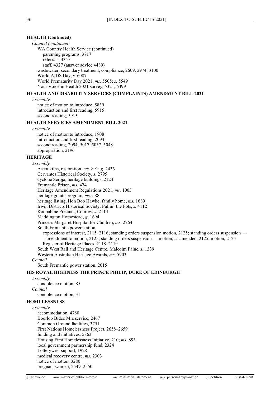### **HEALTH (continued)**

*Council (continued)* WA Country Health Service (continued) parenting programs, 3717 referrals, 4347 staff, 4327 (answer advice 4489) wastewater, secondary treatment, compliance, 2609, 2974, 3100 World AIDS Day, *s.* 6087 World Prematurity Day 2021, *ms.* 5505; *s.* 5549 Your Voice in Health 2021 survey, 5321, 6499

# **HEALTH AND DISABILITY SERVICES (COMPLAINTS) AMENDMENT BILL 2021**

*Assembly*

notice of motion to introduce, 5839 introduction and first reading, 5915 second reading, 5915

# **HEALTH SERVICES AMENDMENT BILL 2021**

*Assembly*

notice of motion to introduce, 1908 introduction and first reading, 2094 second reading, 2094, 5017, 5037, 5048 appropriation, 2196

# **HERITAGE**

*Assembly* Ascot kilns, restoration, *ms.* 891; *g.* 2436 Cervantes Historical Society, *s.* 2795 cyclone Seroja, heritage buildings, 2124 Fremantle Prison, *ms.* 474 Heritage Amendment Regulations 2021, *ms.* 1003 heritage grants program, *ms.* 588 heritage listing, Hon Bob Hawke, family home, *ms.* 1689 Irwin Districts Historical Society, Pullin' the Pots, *s.* 4112 Koobabbie Precinct, Coorow, *s.* 2114 Maddington Homestead, *g.* 1694 Princess Margaret Hospital for Children, *ms.* 2764 South Fremantle power station expressions of interest, 2115–2116; standing orders suspension motion, 2125; standing orders suspension amendment to motion, 2125; standing orders suspension — motion, as amended, 2125; motion, 2125 Register of Heritage Places, 2118–2119 South West Rail and Heritage Centre, Malcolm Paine, *s.* 1339 Western Australian Heritage Awards, *ms.* 5903 *Council*

South Fremantle power station, 2015

# **HIS ROYAL HIGHNESS THE PRINCE PHILIP, DUKE OF EDINBURGH**

*Assembly* condolence motion, 85 *Council* condolence motion, 31

### **HOMELESSNESS**

*Assembly* accommodation, 4780 Boorloo Bidee Mia service, 2467 Common Ground facilities, 3751 First Nations Homelessness Project, 2658–2659 funding and initiatives, 5863 Housing First Homelessness Initiative, 210; *ms.* 893 local government partnership fund, 2324 Lotterywest support, 1928 medical recovery centre, *ms.* 2303 notice of motion, 3280 pregnant women, 2549–2550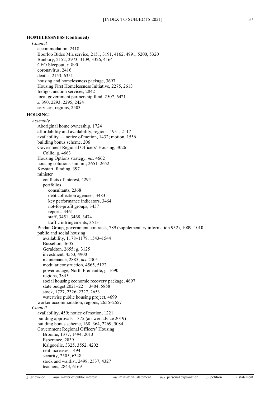### **HOMELESSNESS (continued)**

#### *Council*

accommodation, 2418 Boorloo Bidee Mia service, 2151, 3191, 4162, 4991, 5200, 5320 Bunbury, 2152, 2973, 3109, 3326, 4164 CEO Sleepout, *s.* 890 coronavirus, 2416 deaths, 2153, 6351 housing and homelessness package, 3697 Housing First Homelessness Initiative, 2275, 2613 Indigo Junction services, 2842 local government partnership fund, 2507, 6421 *s.* 390, 2293, 2295, 2424 services, regions, 2503

#### <span id="page-37-0"></span>**HOUSING**

*Assembly* Aboriginal home ownership, 1724 affordability and availability, regions, 1931, 2117 availability — notice of motion, 1432; motion, 1556 building bonus scheme, 206 Government Regional Officers' Housing, 3026 Collie, *g.* 4663 Housing Options strategy, *ms.* 4662 housing solutions summit, 2651–2652 Keystart, funding, 397 minister conflicts of interest, 4294 portfolios consultants, 2368 debt collection agencies, 3483 key performance indicators, 3464 not-for-profit groups, 3457 reports, 3461 staff, 3451, 3468, 3474 traffic infringements, 3513 Pindan Group, government contracts, 789 (supplementary information 932), 1009–1010 public and social housing availability, 1178–1179, 1543–1544 Busselton, 4605 Geraldton, 2655; *g.* 3125 investment, 4553, 4900 maintenance, 2885; *ms.* 2305 modular construction, 4565, 5122 power outage, North Fremantle, *g.* 1690 regions, 3845 social housing economic recovery package, 4697 state budget 2021–22 3404, 5858 stock, 1727, 2326–2327, 2653 waterwise public housing project, 4699 worker accommodation, regions, 2656–2657 *Council* availability, 459; notice of motion, 1221 building approvals, 1375 (answer advice 2019) building bonus scheme, 168, 364, 2269, 5084 Government Regional Officers' Housing Broome, 1377, 1494, 2013 Esperance, 2839 Kalgoorlie, 3325, 3552, 4202 rent increases, 1494 security, 2505, 6348 stock and waitlist, 2498, 2537, 4327

teachers, 2843, 6169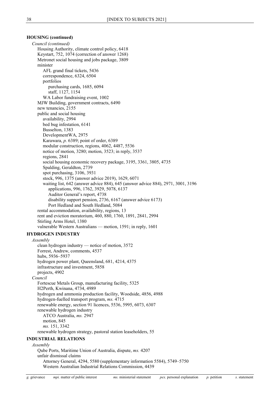# **HOUSING (continued)**

*Council (continued)* Housing Authority, climate control policy, 6418 Keystart, 752, 1074 (correction of answer 1268) Metronet social housing and jobs package, 3809 minister AFL grand final tickets, 5436 correspondence, 6324, 6504 portfolios purchasing cards, 1685, 6094 staff, 1127, 1154 WA Labor fundraising event, 1002 MJW Building, government contracts, 6490 new tenancies, 2155 public and social housing availability, 2994 bed bug infestation, 6141 Busselton, 1383 DevelopmentWA, 2975 Karawara, *p.* 6389; point of order, 6389 modular construction, regions, 4062, 4487, 5536 notice of motion, 3280; motion, 3523; in reply, 3537 regions, 2841 social housing economic recovery package, 3195, 3361, 3805, 4735 Spalding, Geraldton, 2739 spot purchasing, 3106, 3931 stock, 996, 1375 (answer advice 2019), 1629, 6071 waiting list, 642 (answer advice 884), 645 (answer advice 884), 2971, 3001, 3196 applications, 996, 1762, 3929, 5078, 6137 Auditor General's report, 4738 disability support pension, 2736, 6167 (answer advice 6173) Port Hedland and South Hedland, 5084 rental accommodation, availability, regions, 13 rent and eviction moratorium, 460, 880, 1760, 1891, 2841, 2994 Stirling Arms Hotel, 1380 vulnerable Western Australians — motion, 1591; in reply, 1601

# <span id="page-38-0"></span>**HYDROGEN INDUSTRY**

*Assembly*

clean hydrogen industry — notice of motion, 3572 Forrest, Andrew, comments, 4537 hubs, 5936–5937 hydrogen power plant, Queensland, 681, 4214, 4375 infrastructure and investment, 5858 projects, 4902 *Council* Fortescue Metals Group, manufacturing facility, 5325 H2Perth, Kwinana, 4734, 4989 hydrogen and ammonia production facility, Woodside, 4856, 4988 hydrogen-fuelled transport program, *ms.* 4715 renewable energy, section 91 licences, 5536, 5995, 6073, 6307 renewable hydrogen industry ATCO Australia, *ms.* 2947 motion, 845 *ms.* 151, 3342 renewable hydrogen strategy, pastoral station leaseholders, 55

### **INDUSTRIAL RELATIONS**

#### *Assembly*

Qube Ports, Maritime Union of Australia, dispute, *ms.* 4207 unfair dismissal claims Attorney General, 4294, 5580 (supplementary information 5584), 5749–5750 Western Australian Industrial Relations Commission, 4439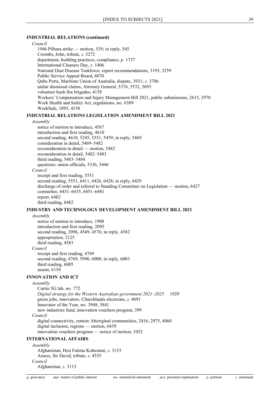### **INDUSTRIAL RELATIONS (continued)**

*Council* 1946 Pilbara strike — motion, 539; in reply, 545 Coombs, John, tribute, *s.* 3272 department, building practices, compliance, *p.* 1737 International Cleaners Day, *s.* 1406 National Dust Disease Taskforce, report recommendations, 3193, 3259 Public Service Appeal Board, 6070 Qube Ports, Maritime Union of Australia, dispute, 3931; *s.* 3706 unfair dismissal claims, Attorney General, 5376, 5532, 5693 volunteer bush fire brigades, 4158 Workers' Compensation and Injury Management Bill 2021, public submissions, 2615, 2970 Work Health and Safety Act, regulations, *ms.* 6389 WorkSafe, 1895, 4158

# **INDUSTRIAL RELATIONS LEGISLATION AMENDMENT BILL 2021**

#### *Assembly*

notice of motion to introduce, 4567 introduction and first reading, 4610 second reading, 4610, 5245, 5351, 5459; in reply, 5469 consideration in detail, 5469–5482 reconsideration in detail — motion, 5482 reconsideration in detail, 5482–5483 third reading, 5483–5484 questions: union officials, 5336, 5446 *Council* receipt and first reading, 5551 second reading, 5551, 6411, 6426, 6428; in reply, 6429 discharge of order and referral to Standing Committee on Legislation — motion, 6427 committee, 6431–6435, 6451–6481 report, 6482

third reading, 6482

### **INDUSTRY AND TECHNOLOGY DEVELOPMENT AMENDMENT BILL 2021**

*Assembly*

notice of motion to introduce, 1908 introduction and first reading, 2095 second reading, 2096, 4549, 4576; in reply, 4582 appropriation, 2125 third reading, 4583 *Council* receipt and first reading, 4769 second reading, 4769, 5990, 6000; in reply, 6003 third reading, 6005 assent, 6154

# **INNOVATION AND ICT**

*Assembly*

Curtin 5G lab, *ms.* 772 *Digital strategy for the Western Australian government 2021–2025* 1929 green jobs, innovators, Churchlands electorate, *s.* 4691 Innovator of the Year, *ms.* 3948, 5841 new industries fund, innovation vouchers program, 399 *Council* digital connectivity, remote Aboriginal communities, 2416, 2975, 4060 digital inclusion, regions — motion, 6439 innovation vouchers program — notice of motion, 1052

### **INTERNATIONAL AFFAIRS**

*Assembly* Afghanistan, Hon Fatima Kohestani, *s.* 3153 Amess, Sir David, tribute, *s.* 4555 *Council* Afghanistan, *s.* 3113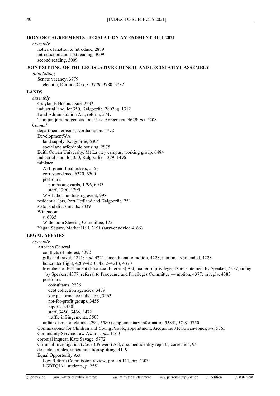# **IRON ORE AGREEMENTS LEGISLATION AMENDMENT BILL 2021**

# *Assembly*

notice of motion to introduce, 2889 introduction and first reading, 3009 second reading, 3009

### <span id="page-40-0"></span>**JOINT SITTING OF THE LEGISLATIVE COUNCIL AND LEGISLATIVE ASSEMBLY**

*Joint Sitting* Senate vacancy, 3779 election, Dorinda Cox, *s.* 3779–3780, 3782

# **LANDS**

*Assembly* Graylands Hospital site, 2232 industrial land, lot 350, Kalgoorlie, 2802; *g.* 1312 Land Administration Act, reform, 5747 Tjuntjuntjara Indigenous Land Use Agreement, 4629; *ms.* 4208 *Council* department, erosion, Northampton, 4772 DevelopmentWA land supply, Kalgoorlie, 6304 social and affordable housing, 2975 Edith Cowan University, Mt Lawley campus, working group, 6484 industrial land, lot 350, Kalgoorlie, 1379, 1496 minister AFL grand final tickets, 5555 correspondence, 6320, 6500 portfolios purchasing cards, 1796, 6093 staff, 1290, 1299 WA Labor fundraising event, 998 residential lots, Port Hedland and Kalgoorlie, 751 state land divestments, 2839 Wittenoom *s.* 6035 Wittenoom Steering Committee, 172 Yagan Square, Market Hall, 3191 (answer advice 4166)

# **LEGAL AFFAIRS**

*Assembly* Attorney General conflicts of interest, 4292 gifts and travel, 4211; *mpi.* 4221; amendment to motion, 4228; motion, as amended, 4228 helicopter flight, 4209–4210, 4212–4213, 4370 Members of Parliament (Financial Interests) Act, matter of privilege, 4356; statement by Speaker, 4357; ruling by Speaker, 4377; referral to Procedure and Privileges Committee — motion, 4377; in reply, 4383 portfolios consultants, 2236 debt collection agencies, 3479 key performance indicators, 3463 not-for-profit groups, 3455 reports, 3460 staff, 3450, 3466, 3472 traffic infringements, 3503 unfair dismissal claims, 4294, 5580 (supplementary information 5584), 5749–5750 Commissioner for Children and Young People, appointment, Jacqueline McGowan-Jones, *ms.* 5765 Community Service Law Awards, *ms.* 1160 coronial inquest, Kate Savage, 5772 Criminal Investigation (Covert Powers) Act, assumed identity reports, correction, 95 de facto couples, superannuation splitting, 4119 Equal Opportunity Act

Law Reform Commission review, project 111, *ms.* 2303 LGBTQIA+ students, *p.* 2551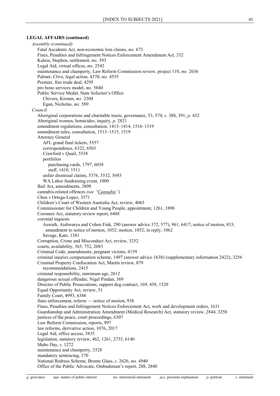### **LEGAL AFFAIRS (continued)**

```
Assembly (continued)
  Fatal Accidents Act, non-economic loss claims, ms. 673
  Fines, Penalties and Infringement Notices Enforcement Amendment Act, 332
  Kaless, Stephen, settlement, ms. 393
  Legal Aid, virtual offices, ms. 2542
  maintenance and champerty, Law Reform Commission review, project 110, ms. 2636
  Palmer, Clive, legal action, 4370; ms. 4555
  Premier, free trade deal, 4295
  pro bono services model, ms. 5840
  Public Service Medal, State Solicitor's Office
     Chivers, Kirsten, ms. 2304
     Egan, Nicholas, ms. 589
Council
  Aboriginal corporations and charitable trusts, governance, 53, 574; s. 388, 391; p. 432
  Aboriginal women, homicides, inquiry, p. 2821
  amendment regulations, consultation, 1413–1414, 1516–1519
  amendment rules, consultation, 1513–1515, 1519
  Attorney General
     AFL grand final tickets, 5557
     correspondence, 6322, 6503
     Crawford v Quail, 5538
     portfolios
        purchasing cards, 1797, 6038
        staff, 1410, 1511
     unfair dismissal claims, 5376, 5532, 5693
     WA Labor fundraising event, 1000
  Bail Act, amendments, 3808
  cannabis-related offences (see "Cannabis")
  Chen v Ortega-Lopez, 3571
  Children's Court of Western Australia Act, review, 4063
  Commissioner for Children and Young People, appointment, 1261, 1890
  Coroners Act, statutory review report, 6488
  coronial inquests
     Aswath, Aishwarya and Cohen Fink, 290 (answer advice 372, 577), 961, 6417; notice of motion, 833; 
       amendment to notice of motion, 1052; motion, 1052; in reply, 1062
     Savage, Kate, 1381
  Corruption, Crime and Misconduct Act, review, 3252
  courts, availability, 365, 752, 2083
  Criminal Code, amendments, pregnant victims, 4159
  criminal injuries compensation scheme, 1497 (answer advice 1638) (supplementary information 2422), 3256
  Criminal Property Confiscation Act, Martin review, 879
     recommendations, 2415
  criminal responsibility, minimum age, 2612
  dangerous sexual offender, Nigel Pindan, 369
  Director of Public Prosecutions, support dog contract, 169, 458, 1520
  Equal Opportunity Act, review, 51
  Family Court, 4993, 6386
  fines enforcement, reform — notice of motion, 938
  Fines, Penalties and Infringement Notices Enforcement Act, work and development orders, 1631
  Guardianship and Administration Amendment (Medical Research) Act, statutory review, 2844, 3258
  justices of the peace, court proceedings, 6307
  Law Reform Commission, reports, 997
  law reforms, derivative action, 1076, 2017
  Legal Aid, office access, 3835
  legislation, statutory review, 462, 1261, 2735, 6140
  Mabo Day, s. 1272
  maintenance and champerty, 3328
  mandatory sentencing, 370
  National Redress Scheme, Bronte Glass, s. 2626, ms. 4940
  Office of the Public Advocate, Ombudsman's report, 288, 2840
```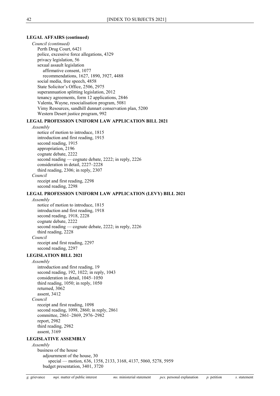### **LEGAL AFFAIRS (continued)**

*Council (continued)* Perth Drug Court, 6421 police, excessive force allegations, 4329 privacy legislation, 56 sexual assault legislation affirmative consent, 1077 recommendations, 1627, 1890, 3927, 4488 social media, free speech, 4858 State Solicitor's Office, 2506, 2975 superannuation splitting legislation, 2012 tenancy agreements, form 12 applications, 2846 Valenta, Wayne, resocialisation program, 5081 Vimy Resources, sandhill dunnart conservation plan, 5200 Western Desert justice program, 992

# **LEGAL PROFESSION UNIFORM LAW APPLICATION BILL 2021**

#### *Assembly*

notice of motion to introduce, 1815 introduction and first reading, 1915 second reading, 1915 appropriation, 2196 cognate debate, 2222 second reading — cognate debate, 2222; in reply, 2226 consideration in detail, 2227–2228 third reading, 2306; in reply, 2307 *Council* receipt and first reading, 2298 second reading, 2298

#### **LEGAL PROFESSION UNIFORM LAW APPLICATION (LEVY) BILL 2021**

### *Assembly*

notice of motion to introduce, 1815 introduction and first reading, 1918 second reading, 1918, 2228 cognate debate, 2222 second reading — cognate debate, 2222; in reply, 2226 third reading, 2228 *Council* receipt and first reading, 2297 second reading, 2297

#### **LEGISLATION BILL 2021**

*Assembly*

introduction and first reading, 19 second reading, 192, 1022; in reply, 1043 consideration in detail, 1045–1050 third reading, 1050; in reply, 1050 returned, 3062 assent, 3412 *Council* receipt and first reading, 1098 second reading, 1098, 2860; in reply, 2861

committee, 2861–2869, 2976–2982 report, 2982 third reading, 2982 assent, 3169

# **LEGISLATIVE ASSEMBLY**

*Assembly* business of the house adjournment of the house, 30 special — motion, 636, 1358, 2133, 3168, 4137, 5060, 5278, 5959 budget presentation, 3401, 3720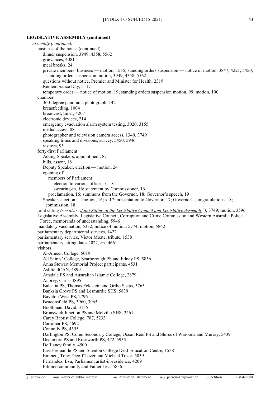### **LEGISLATIVE ASSEMBLY (continued)**

*Assembly (continued)* business of the house (continued) dinner suspension, 3949, 4358, 5562 grievances, 4081 meal breaks, 24 private members' business — motion, 1555; standing orders suspension — notice of motion, 3847, 4221, 5450; standing orders suspension motion, 3949, 4358, 5562 questions without notice, Premier and Minister for Health, 2319 Remembrance Day, 5117 temporary order — notice of motion, 19; standing orders suspension motion, 99; motion, 100 chamber 360-degree panorama photograph, 1421 breastfeeding, 1004 broadcast, timer, 4207 electronic devices, 214 emergency evacuation alarm system testing, 3020, 3155 media access, 88 photographer and television camera access, 1340, 3749 speaking times and divisions, survey, 5450, 5946 visitors, 95 forty-first Parliament Acting Speakers, appointment, 87 bills, assent, 18 Deputy Speaker, election — motion, 24 opening of members of Parliament election to various offices, *s.* 18 swearing-in, 16; statement by Commissioner, 16 proclamation, 16; summons from the Governor, 18; Governor's speech, 19 Speaker, election — motion, 16; *s.* 17; presentation to Governor, 17; Governor's congratulations, 18; commission, 18 joint sitting *(see also ["Joint Sitting of the Legislative Council and Legislative Assembly"](#page-40-0))*, 3749; motion, 3596 Legislative Assembly, Legislative Council, Corruption and Crime Commission and Western Australia Police Force, memoranda of understanding, 5946 mandatory vaccination, 5332; notice of motion, 5774; motion, 5842 parliamentary departmental surveys, 1422 parliamentary service, Victor Moate, tribute, 1538 parliamentary sitting dates 2022, *ms.* 4661 visitors Al-Ameen College, 5019 All Saints' College, Scarborough PS and Edney PS, 5856 Anna Stewart Memorial Project participants, 4531 AshfieldCAN, 4899 Attadale PS and Australian Islamic College, 2879 Aubrey, Chris, 4895 Balcatta PS, Thomas Feldstein and Ortho Sistas, 5765 Banksia Grove PS and Lesmurdie SHS, 5839 Baynton West PS, 2796 Beaconsfield PS, 3960, 3965 Boothman, David, 3155 Brunswick Junction PS and Melville SHS, 2461 Carey Baptist College, 787, 5233 Carramar PS, 4692 Connolly PS, 4555 Darlington PS, Como Secondary College, Ocean Reef PS and Shires of Waroona and Murray, 5439 Deanmore PS and Roseworth PS, 472, 5935 De'Laney family, 4500 East Fremantle PS and Shenton College Deaf Education Centre, 1538 Emmett, Toby, Geoff Tozer and Michael Tozer, 5039 Fernandez, Eva, Parliament artist-in-residence, 4209 Filipino community and Father Jess, 5856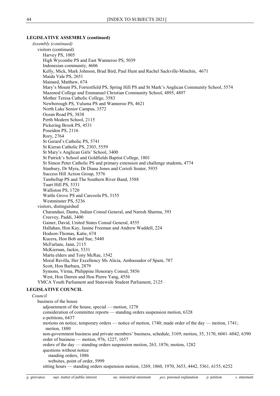### **LEGISLATIVE ASSEMBLY (continued)**

*Assembly (continued)* visitors (continued) Harvey PS, 1005 High Wycombe PS and East Wanneroo PS, 5039 Indonesian community, 4606 Kelly, Mick, Mark Johnson, Brad Bird, Paul Hunt and Rachel Sackville-Minchin, 4671 Maida Vale PS, 2651 Mainard, Matthew, 674 Mary's Mount PS, Forrestfield PS, Spring Hill PS and St Mark's Anglican Community School, 5574 Mazenod College and Emmanuel Christian Community School, 4895, 4897 Mother Teresa Catholic College, 3583 Newborough PS, Yuluma PS and Wanneroo PS, 4621 North Lake Senior Campus, 3572 Ocean Road PS, 3838 Perth Modern School, 2115 Pickering Brook PS, 4531 Poseidon PS, 2116 Rory, 2764 St Gerard's Catholic PS, 5741 St Kieran Catholic PS, 2303, 5559 St Mary's Anglican Girls' School, 3400 St Patrick's School and Goldfields Baptist College, 1801 St Simon Peter Catholic PS and primary extension and challenge students, 4774 Stanbury, Dr Myra, Dr Diana Jones and Corioli Souter, 5935 Success Hill Action Group, 5576 Tambellup PS and The Southern River Band, 3588 Tuart Hill PS, 5331 Walliston PS, 1720 Wattle Grove PS and Carcoola PS, 3155 Westminster PS, 5236 visitors, distinguished Charandasi, Dantu, Indian Consul General, and Naresh Sharma, 393 Creevey, Paddi, 3400 Gainer, David, United States Consul General, 4555 Hallahan, Hon Kay, Janine Freeman and Andrew Waddell, 224 Hodson-Thomas, Katie, 674 Kucera, Hon Bob and Sue, 5440 McFarlane, Jann, 2115 McKiernan, Jackie, 5331 Martu elders and Tony McRae, 1542 Moral Revilla, Her Excellency Ms Alicia, Ambassador of Spain, 787 Scott, Hon Barbara, 2879 Symons, Virma, Philippine Honorary Consul, 5856 West, Hon Darren and Hon Pierre Yang, 4556 YMCA Youth Parliament and Statewide Student Parliament, 2125 **LEGISLATIVE COUNCIL** *Council* business of the house adjournment of the house, special — motion, 1278 consideration of committee reports — standing orders suspension motion, 6328 e-petitions, 6437 motions on notice, temporary orders — notice of motion, 1740; made order of the day — motion, 1741; motion, 1880 non-government business and private members' business, schedule, 3169; motion, 35, 3170, 6041–6042, 6390 order of business — motion, 976, 1227, 1657 orders of the day — standing orders suspension motion, 263, 1876; motion, 1282 questions without notice standing orders, 1086 websites, point of order, 5999 sitting hours — standing orders suspension motion, 1269, 1860, 1970, 3653, 4442, 5361, 6155, 6252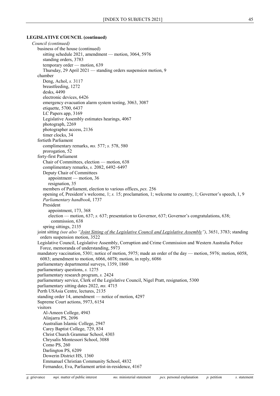#### **LEGISLATIVE COUNCIL (continued)**

*Council (continued)* business of the house (continued) sitting schedule 2021, amendment — motion, 3064, 5976 standing orders, 3783 temporary order — motion, 639 Thursday, 29 April 2021 — standing orders suspension motion, 9 chamber Deng, Achol, *s.* 3117 breastfeeding, 1272 desks, 4490 electronic devices, 6426 emergency evacuation alarm system testing, 3063, 3087 etiquette, 5700, 6437 LC Papers app, 3169 Legislative Assembly estimates hearings, 4067 photograph, 2269 photographer access, 2136 timer clocks, 34 fortieth Parliament complimentary remarks, *ms.* 577; *s.* 578, 580 prorogation, 52 forty-first Parliament Chair of Committees, election — motion, 638 complimentary remarks, *s.* 2082, 6492–6497 Deputy Chair of Committees appointment — motion, 36 resignation, 35 members of Parliament, election to various offices, *pex.* 256 opening of, President's welcome, 1; *s.* 15; proclamation, 1; welcome to country, 1; Governor's speech, 1, 9 *Parliamentary handbook*, 1737 President appointment, 173, 368 election — motion, 637; *s.* 637; presentation to Governor, 637; Governor's congratulations, 638; commission, 638 spring sittings, 2135 joint sitting *(see also ["Joint Sitting of the Legislative Council and Legislative Assembly"](#page-40-0))*, 3651, 3783; standing orders suspension motion, 3522 Legislative Council, Legislative Assembly, Corruption and Crime Commission and Western Australia Police Force, memoranda of understanding, 5973 mandatory vaccination, 5301; notice of motion, 5975; made an order of the day — motion, 5976; motion, 6058, 6083; amendment to motion, 6066, 6078; motion, in reply, 6086 parliamentary departmental surveys, 1359, 1860 parliamentary questions, *s.* 1275 parliamentary research program, *s.* 2424 parliamentary service, Clerk of the Legislative Council, Nigel Pratt, resignation, 5300 parliamentary sitting dates 2022, *ms.* 4715 Perth USAsia Centre, lectures, 2135 standing order 14, amendment — notice of motion, 4297 Supreme Court actions, 5973, 6154 visitors Al-Ameen College, 4943 Alinjarra PS, 2696 Australian Islamic College, 2947 Carey Baptist College, 729, 834 Christ Church Grammar School, 4303 Chrysalis Montessori School, 3088 Como PS, 260 Darlington PS, 6209 Dowerin District HS, 1360 Emmanuel Christian Community School, 4832 Fernandez, Eva, Parliament artist-in-residence, 4167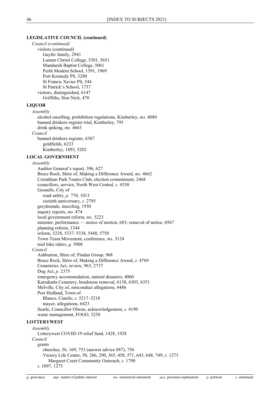### **LEGISLATIVE COUNCIL (continued)**

*Council (continued)* visitors (continued) Gayfer family, 2941 Lumen Christi College, 5301, 5651 Mandurah Baptist College, 5061 Perth Modern School, 1591, 1969 Port Kennedy PS, 3280 St Francis Xavier PS, 544 St Patrick's School, 1737 visitors, distinguished, 6147 Griffiths, Hon Nick, 470

#### **LIQUOR**

*Assembly* alcohol onselling, prohibition regulations, Kimberley, *ms.* 4080 banned drinkers register trial, Kimberley, 795 drink spiking, *ms.* 4663 *Council* banned drinkers register, 6387 goldfields, 6233 Kimberley, 1893, 5202

# **LOCAL GOVERNMENT**

*Assembly*

Auditor General's report, 396, 627 Bruce Rock, Shire of, Making a Difference Award, *ms.* 4662 Corinthian Park Tennis Club, election commitment, 2468 councillors, service, North West Central, *s.* 4530 Gosnells, City of road safety, *p.* 770, 1013 sixtieth anniversary, *s.* 2795 greyhounds, muzzling, 1930 inquiry reports, *ms.* 474 local government reform, *ms.* 5223 minister, performance — notice of motion, 683; removal of notice, 4567 planning reform, 1344 reform, 5238, 5337–5338, 5448, 5750 Town Team Movement, conference, *ms.* 3124 trail bike riders, *g.* 5908 *Council* Ashburton, Shire of, Pindan Group, 968 Bruce Rock, Shire of, Making a Difference Award, *s.* 4769 Cemeteries Act, review, 963, 2737 Dog Act, *p.* 2375 emergency accommodation, natural disasters, 4060 Karrakatta Cemetery, headstone removal, 6138, 6303, 6351 Melville, City of, misconduct allegations, 4486 Port Hedland, Town of Blanco, Camilo, *s.* 5217–5218 mayor, allegations, 6423 Searle, Councillor Olwen, acknowledgement, *s.* 4190 waste management, FOGO, 3258 **LOTTERYWEST** *Assembly* Lotterywest COVID-19 relief fund, 1428, 1928 *Council*

grants churches, 56, 169, 753 (answer advice 887), 756 Victory Life Centre, 50, 286, 290, 365, 458, 571, 643, 648, 749; *s.* 1273 Margaret Court Community Outreach, *s.* 1790 *s.* 1097, 1275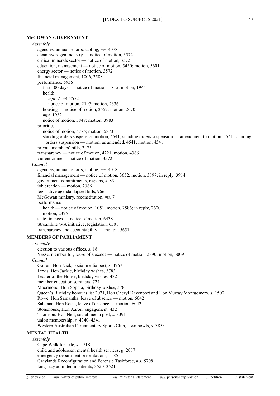# **McGOWAN GOVERNMENT**

*Assembly* agencies, annual reports, tabling, *ms.* 4078 clean hydrogen industry — notice of motion, 3572 critical minerals sector — notice of motion, 3572 education, management — notice of motion, 5450; motion, 5601 energy sector — notice of motion, 3572 financial management, 1006, 3588 performance, 5936 first 100 days — notice of motion, 1815; motion, 1944 health *mpi.* 2198, 2552 notice of motion, 2197; motion, 2336 housing — notice of motion, 2552; motion, 2670 *mpi.* 1932 notice of motion, 3847; motion, 3983 priorities notice of motion, 5775; motion, 5873 standing orders suspension motion, 4541; standing orders suspension — amendment to motion, 4541; standing orders suspension — motion, as amended, 4541; motion, 4541 private members' bills, 3475 transparency — notice of motion, 4221; motion, 4386 violent crime — notice of motion, 3572 *Council* agencies, annual reports, tabling, *ms.* 4018 financial management — notice of motion, 3652; motion, 3897; in reply, 3914 government commitments, regions, *s.* 83 job creation — motion, 2386 legislative agenda, lapsed bills, 966 McGowan ministry, reconstitution, *ms.* 7 performance health — notice of motion, 1051; motion, 2586; in reply, 2600 motion, 2375 state finances — notice of motion, 6438 Streamline WA initiative, legislation, 6301 transparency and accountability — motion, 5651 **MEMBERS OF PARLIAMENT** *Assembly* election to various offices, *s.* 18 Vasse, member for, leave of absence — notice of motion, 2890; motion, 3009 *Council* Goiran, Hon Nick, social media post, *s.* 4767 Jarvis, Hon Jackie, birthday wishes, 3783 Leader of the House, birthday wishes, 432 member education seminars, 724 Moermond, Hon Sophia, birthday wishes, 3783 Queen's Birthday honours list 2021, Hon Cheryl Davenport and Hon Murray Montgomery, *s.* 1500 Rowe, Hon Samantha, leave of absence — motion, 6042 Sahanna, Hon Rosie, leave of absence — motion, 6042 Stonehouse, Hon Aaron, engagement, 432 Thomson, Hon Neil, social media post, *s.* 3391 union membership, *s.* 4340–4341 Western Australian Parliamentary Sports Club, lawn bowls, *s.* 3833 **MENTAL HEALTH** *Assembly* Cape Walk for Life, *s.* 1718 child and adolescent mental health services, *g.* 2087 emergency department presentations, 1185

long-stay admitted inpatients, 3520–3521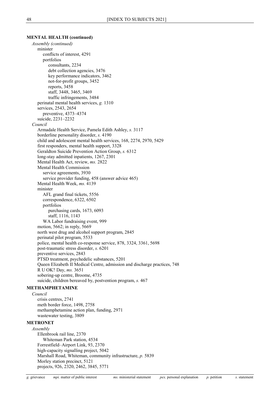# **MENTAL HEALTH (continued)**

*Assembly (continued)* minister conflicts of interest, 4291 portfolios consultants, 2234 debt collection agencies, 3476 key performance indicators, 3462 not-for-profit groups, 3452 reports, 3458 staff, 3448, 3465, 3469 traffic infringements, 3484 perinatal mental health services, *g.* 1310 services, 2543, 2654 preventive, 4373–4374 suicide, 2231–2232 *Council* Armadale Health Service, Pamela Edith Ashley, *s.* 3117 borderline personality disorder, *s.* 4190 child and adolescent mental health services, 168, 2274, 2970, 5429 first responders, mental health support, 3328 Geraldton Suicide Prevention Action Group, *s.* 6312 long-stay admitted inpatients, 1267, 2301 Mental Health Act, review, *ms.* 2822 Mental Health Commission service agreements, 3930 service provider funding, 458 (answer advice 465) Mental Health Week, *ms.* 4139 minister AFL grand final tickets, 5556 correspondence, 6322, 6502 portfolios purchasing cards, 1673, 6093 staff, 1116, 1143 WA Labor fundraising event, 999 motion, 5662; in reply, 5669 north west drug and alcohol support program, 2845 perinatal pilot program, 5533 police, mental health co-response service, 878, 3324, 3361, 5698 post-traumatic stress disorder, *s.* 6201 preventive services, 2843 PTSD treatment, psychedelic substances, 5201 Queen Elizabeth II Medical Centre, admission and discharge practices, 748 R U OK? Day, *ms.* 3651 sobering-up centre, Broome, 4735 suicide, children bereaved by, postvention program, *s.* 467 **METHAMPHETAMINE** *Council* crisis centres, 2741 meth border force, 1498, 2758 methamphetamine action plan, funding, 2971

# <span id="page-48-1"></span>**METRONET**

*Assembly* Ellenbrook rail line, 2370 Whiteman Park station, 4534 Forrestfield–Airport Link, 93, 2370 high-capacity signalling project, 5042 Marshall Road, Whiteman, community infrastructure, *p.* 5839 Morley station precinct, 5121 projects, 926, 2320, 2462, 3845, 5771

<span id="page-48-0"></span>wastewater testing, 3809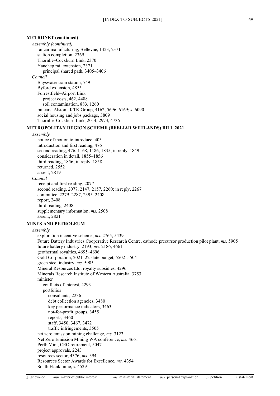# **METRONET (continued)**

*Assembly (continued)* railcar manufacturing, Bellevue, 1423, 2371 station completion, 2369 Thornlie–Cockburn Link, 2370 Yanchep rail extension, 2371 principal shared path, 3405–3406 *Council* Bayswater train station, 749 Byford extension, 4855 Forrestfield–Airport Link project costs, 462, 4488 soil contamination, 883, 1260 railcars, Alstom, KTK Group, 4162, 5696, 6169; *s.* 6090 social housing and jobs package, 3809 Thornlie–Cockburn Link, 2014, 2973, 4736

# **METROPOLITAN REGION SCHEME (BEELIAR WETLANDS) BILL 2021**

### *Assembly*

notice of motion to introduce, 403 introduction and first reading, 476 second reading, 476, 1168, 1186, 1835; in reply, 1849 consideration in detail, 1855–1856 third reading, 1856; in reply, 1858 returned, 2552 assent, 2819 *Council* receipt and first reading, 2077 second reading, 2077, 2147, 2157, 2260; in reply, 2267 committee, 2279–2287, 2395–2408 report, 2408 third reading, 2408 supplementary information, *ms.* 2508 assent, 2821

# **MINES AND PETROLEUM**

#### *Assembly*

exploration incentive scheme, *ms.* 2765, 5439 Future Battery Industries Cooperative Research Centre, cathode precursor production pilot plant, *ms.* 5905 future battery industry, 2193; *ms.* 2186, 4661 geothermal royalties, 4695–4696 Gold Corporation, 2021–22 state budget, 5502–5504 green steel industry, *ms.* 5905 Mineral Resources Ltd, royalty subsidies, 4296 Minerals Research Institute of Western Australia, 3753 minister conflicts of interest, 4293 portfolios consultants, 2236 debt collection agencies, 3480 key performance indicators, 3463 not-for-profit groups, 3455 reports, 3460 staff, 3450, 3467, 3472 traffic infringements, 3505 net zero emission mining challenge, *ms.* 3123 Net Zero Emission Mining WA conference, *ms.* 4661 Perth Mint, CEO retirement, 5047 project approvals, 2243 resources sector, 4376; *ms.* 394 Resources Sector Awards for Excellence, *ms.* 4354 South Flank mine, *s.* 4529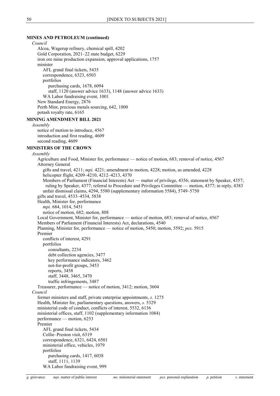# **MINES AND PETROLEUM (continued)**

*Council* Alcoa, Wagerup refinery, chemical spill, 4202 Gold Corporation, 2021–22 state budget, 6229 iron ore mine production expansion, approval applications, 1757 minister AFL grand final tickets, 5435 correspondence, 6323, 6503 portfolios purchasing cards, 1678, 6094 staff, 1120 (answer advice 1633), 1148 (answer advice 1633) WA Labor fundraising event, 1001 New Standard Energy, 2876 Perth Mint, precious metals sourcing, 642, 1800 potash royalty rate, 6165 **MINING AMENDMENT BILL 2021** *Assembly* notice of motion to introduce, 4567 introduction and first reading, 4609 second reading, 4609 **MINISTERS OF THE CROWN** *Assembly* Agriculture and Food, Minister for, performance — notice of motion, 683; removal of notice, 4567 Attorney General gifts and travel, 4211; *mpi.* 4221; amendment to motion, 4228; motion, as amended, 4228 helicopter flight, 4209–4210, 4212–4213, 4370 Members of Parliament (Financial Interests) Act — matter of privilege, 4356; statement by Speaker, 4357; ruling by Speaker, 4377; referral to Procedure and Privileges Committee — motion, 4377; in reply, 4383 unfair dismissal claims, 4294, 5580 (supplementary information 5584), 5749–5750 gifts and travel, 4533–4534, 5838 Health, Minister for, performance *mpi.* 684, 1014, 5451 notice of motion, 682; motion, 808 Local Government, Minister for, performance — notice of motion, 683; removal of notice, 4567 Members of Parliament (Financial Interests) Act, declarations, 4540 Planning, Minister for, performance — notice of motion, 5450; motion, 5592; *pex.* 5915 Premier conflicts of interest, 4291 portfolios consultants, 2234 debt collection agencies, 3477 key performance indicators, 3462 not-for-profit groups, 3453 reports, 3458 staff, 3448, 3465, 3470 traffic infringements, 3487 Treasurer, performance — notice of motion, 3412; motion, 3604 *Council* former ministers and staff, private enterprise appointments, *s.* 1275 Health, Minister for, parliamentary questions, answers, *s.* 5329 ministerial code of conduct, conflicts of interest, 5532, 6136

ministerial offices, staff, 1102 (supplementary information 1084)

performance — motion, 6253

Premier

AFL grand final tickets, 5434 Collie–Preston visit, 6319 correspondence, 6321, 6424, 6501 ministerial office, vehicles, 1079 portfolios purchasing cards, 1417, 6038 staff, 1111, 1139 WA Labor fundraising event, 999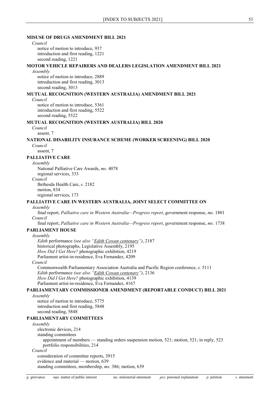### **MISUSE OF DRUGS AMENDMENT BILL 2021**

*Council* notice of motion to introduce, 937 introduction and first reading, 1221 second reading, 1221

# **MOTOR VEHICLE REPAIRERS AND DEALERS LEGISLATION AMENDMENT BILL 2021**

### *Assembly*

notice of motion to introduce, 2889 introduction and first reading, 3013 second reading, 3013

### **MUTUAL RECOGNITION (WESTERN AUSTRALIA) AMENDMENT BILL 2021**

*Council*

notice of motion to introduce, 5361 introduction and first reading, 5522 second reading, 5522

# **MUTUAL RECOGNITION (WESTERN AUSTRALIA) BILL 2020**

*Council*

assent, 7

# **NATIONAL DISABILITY INSURANCE SCHEME (WORKER SCREENING) BILL 2020**

*Council* assent, 7

# **PALLIATIVE CARE**

*Assembly*

National Palliative Care Awards, *ms.* 4078 regional services, 333 *Council* Bethesda Health Care, *s.* 2182 motion, 834

regional services, 173

# **PALLIATIVE CARE IN WESTERN AUSTRALIA, JOINT SELECT COMMITTEE ON**

## *Assembly*

final report, *Palliative care in Western Australia—Progress report*, government response, *ms.* 1801 *Council*

final report, *Palliative care in Western Australia—Progress report*, government response, *ms.* 1738 **PARLIAMENT HOUSE**

# *Assembly*

*Edith* performance *(see also ["Edith Cowan centenary"](#page-21-0))*, 2187 historical photographs, Legislative Assembly, 2195 *How Did I Get Here?* photographic exhibition, 4219 Parliament artist-in-residence, Eva Fernandez, 4209 *Council*

Commonwealth Parliamentary Association Australia and Pacific Region conference, *s.* 5111 *Edith* performance *(see also ["Edith Cowan centenary"](#page-21-0))*, 2136 *How Did I Get Here?* photographic exhibition, 4139 Parliament artist-in-residence, Eva Fernandez, 4167

# **PARLIAMENTARY COMMISSIONER AMENDMENT (REPORTABLE CONDUCT) BILL 2021**

## *Assembly*

notice of motion to introduce, 5775 introduction and first reading, 5848 second reading, 5848

# **PARLIAMENTARY COMMITTEES**

# *Assembly*

electronic devices, 214

standing committees

appointment of members — standing orders suspension motion, 521; motion, 521; in reply, 523 portfolio responsibilities, 214

#### *Council*

consideration of committee reports, 3915 evidence and material — motion, 639

standing committees, membership, *ms.* 386; motion, 639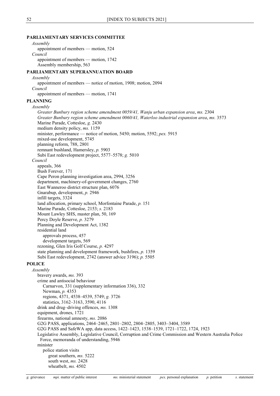### **PARLIAMENTARY SERVICES COMMITTEE**

# *Assembly* appointment of members — motion, 524 *Council* appointment of members — motion, 1742 Assembly membership, 563 **PARLIAMENTARY SUPERANNUATION BOARD** *Assembly* appointment of members — notice of motion, 1908; motion, 2094 *Council* appointment of members — motion, 1741 **PLANNING** *Assembly Greater Bunbury region scheme amendment 0059/41, Wanju urban expansion area*, *ms.* 2304 *Greater Bunbury region scheme amendment 0060/41, Waterloo industrial expansion area*, *ms.* 3573 Marine Parade, Cottesloe, *g.* 2430 medium density policy, *ms.* 1159 minister, performance — notice of motion, 5450; motion, 5592; *pex.* 5915 mixed-use development, 5745 planning reform, 788, 2801 remnant bushland, Hamersley, *p.* 5903 Subi East redevelopment project, 5577–5578; *g.* 5010 *Council* appeals, 366 Bush Forever, 171 Cape Peron planning investigation area, 2994, 3256 department, machinery-of-government changes, 2760 East Wanneroo district structure plan, 6076 Gnarabup, development, *p.* 2946 infill targets, 3324 land allocation, primary school, Morfontaine Parade, *p.* 151 Marine Parade, Cottesloe, 2153; *s.* 2183 Mount Lawley SHS, master plan, 50, 169 Percy Doyle Reserve, *p.* 3279 Planning and Development Act, 1382 residential land approvals process, 457 development targets, 569 rezoning, Glen Iris Golf Course, *p.* 4297 state planning and development framework, bushfires, *p.* 1359 Subi East redevelopment, 2742 (answer advice 3196); *p.* 5505 **POLICE** *Assembly* bravery awards, *ms.* 393 crime and antisocial behaviour Carnarvon, 331 (supplementary information 336), 332 Newman, *p.* 4353 regions, 4371, 4538–4539, 5749; *g.* 3726 statistics, 3162–3163, 3590, 4116 drink and drug–driving offences, *ms.* 1308 equipment, drones, 1721 firearms, national amnesty, *ms.* 2086 G2G PASS, applications, 2464–2465, 2801–2802, 2804–2805, 3403–3404, 3589 G2G PASS and SafeWA app, data access, 1422–1423, 1538–1539, 1721–1722, 1724, 1923 Legislative Assembly, Legislative Council, Corruption and Crime Commission and Western Australia Police Force, memoranda of understanding, 5946 minister police station visits great southern, *ms.* 5222 south west, *ms.* 2428 wheatbelt, *ms.* 4502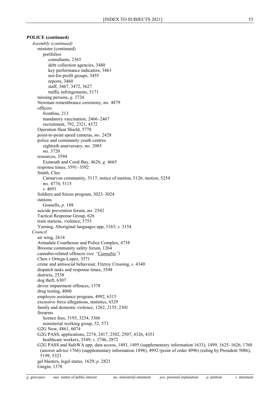# **POLICE (continued)**

*Assembly (continued)* minister (continued) portfolios consultants, 2365 debt collection agencies, 3480 key performance indicators, 3463 not-for-profit groups, 3455 reports, 3460 staff, 3467, 3472, 3627 traffic infringements, 5171 missing persons, *g.* 3724 Newman remembrance ceremony, *ms.* 4879 officers frontline, 213 mandatory vaccination, 2466–2467 recruitment, 792, 2321, 4372 Operation Heat Shield, 5770 point-to-point speed cameras, *ms.* 2428 police and community youth centres eightieth anniversary, *ms.* 2085 *ms.* 3720 resources, 3594 Exmouth and Coral Bay, 4626; *g.* 4665 response times, 3591–3592 Smith, Cleo Carnarvon community, 5117; notice of motion, 5126; motion, 5254 *ms.* 4774, 5115 *s.* 4691 Soldiers and Sirens program, 3023–3024 stations Gosnells, *p.* 188 suicide prevention forum, *ms.* 2542 Tactical Response Group, 626 train stations, violence, 3753 Yarning, Aboriginal languages app, 3163; *s.* 3154 *Council* air wing, 2614 Armadale Courthouse and Police Complex, 4738 Broome community safety forum, 1264 cannabis-related offences *(see ["Cannabis"](#page-6-0))* Chen v Ortega-Lopez, 3571 crime and antisocial behaviour, Fitzroy Crossing, *s.* 4340 dispatch tasks and response times, 3548 districts, 2538 dog theft, 6307 driver impairment offences, 1378 drug testing, 4060 employee assistance program, 4992, 6315 excessive force allegations, statistics, 4329 family and domestic violence, 1262, 2155, 2301 firearms licence fees, 3195, 3254, 3366 ministerial working group, 52, 573 G2G Now, 4861, 6074 G2G PASS, applications, 2274, 2417, 2502, 2507, 4326, 4351 healthcare workers, 3549; *s.* 2746, 2872 G2G PASS and SafeWA app, data access, 1493, 1495 (supplementary information 1633), 1499, 1625–1626, 1760 (answer advice 1766) (supplementary information 1898), 4992 (point of order 4996) (ruling by President 5086), 5199, 5323 gel blasters, legal status, 1629; *p.* 2821 Gingin, 1378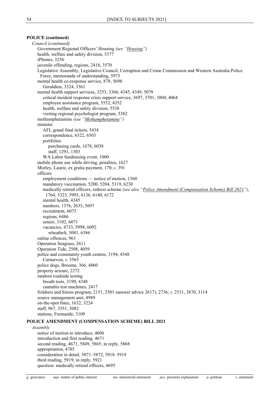# **POLICE (continued)**

*Council (continued)* Government Regional Officers' Housing *(see ["Housing"](#page-37-0))* health, welfare and safety division, 5377 iPhones, 3256 juvenile offending, regions, 2418, 3570 Legislative Assembly, Legislative Council, Corruption and Crime Commission and Western Australia Police Force, memoranda of understanding, 5973 mental health co-response service, 878, 5698 Geraldton, 3324, 3361 mental health support services, 3253, 3366, 4345, 4349, 5078 critical incident response crisis support service, 3697, 3701, 3804, 4064 employee assistance program, 3552, 4352 health, welfare and safety division, 5538 visiting regional psychologist program, 5382 methamphetamine *(see ["Methamphetamine"](#page-48-0))* minister AFL grand final tickets, 5434 correspondence, 6322, 6503 portfolios purchasing cards, 1678, 6038 staff, 1293, 1303 WA Labor fundraising event, 1000 mobile phone use while driving, penalties, 1627 Morley, Laurie, ex gratia payment, 170; *s.* 391 officers employment conditions — notice of motion, 1360 mandatory vaccination, 5200, 5204, 5319, 6230 medically retired officers, redress scheme *(see also ["Police Amendment \(Compensation Scheme\) Bill 2021"](#page-54-0))*, 1764, 5323, 5993, 6136, 6140, 6172 mental health, 4345 numbers, 1376, 2635, 5697 recruitment, 6075 regions, 6486 senior, 3102, 6071 vacancies, 4733, 5998, 6092 wheatbelt, 5081, 6386 online offences, 963 Operation Seagrass, 2611 Operation Tide, 2508, 4059 police and community youth centres, 3194, 4348 Carnarvon, *s.* 3565 police dogs, Broome, 366, 4860 property seizure, 2272 random roadside testing breath tests, 3190, 4348 cannabis test machines, 2417 Soldiers and Sirens program, 2151, 2501 (answer advice 2617), 2736; *s.* 2531, 2870, 3114 source management unit, 4989 on-the-spot fines, 1632, 3224 staff, 967, 3551, 5082 stations, Fremantle, 3109 **POLICE AMENDMENT (COMPENSATION SCHEME) BILL 2021** *Assembly* notice of motion to introduce, 4606 introduction and first reading, 4671 second reading, 4671, 5849, 5865; in reply, 5868 appropriation, 4785

<span id="page-54-0"></span>consideration in detail, 5871–5872, 5918–5919 third reading, 5919; in reply, 5921

question: medically retired officers, 4695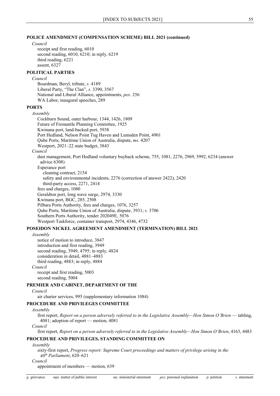### **POLICE AMENDMENT (COMPENSATION SCHEME) BILL 2021 (continued)**

#### *Council*

receipt and first reading, 6010 second reading, 6010, 6210; in reply, 6219 third reading, 6221 assent, 6327

# **POLITICAL PARTIES**

#### *Council*

Boardman, Beryl, tribute, *s.* 4189 Liberal Party, "The Clan", *s.* 3390, 3567 National and Liberal Alliance, appointments, *pex.* 256 WA Labor, inaugural speeches, 289

# **PORTS**

*Assembly*

Cockburn Sound, outer harbour, 1344, 1426, 1809 Future of Fremantle Planning Committee, 1925 Kwinana port, land-backed port, 5938 Port Hedland, Nelson Point Tug Haven and Lumsden Point, 4901 Qube Ports, Maritime Union of Australia, dispute, *ms.* 4207 Westport, 2021–22 state budget, 3843

### *Council*

dust management, Port Hedland voluntary buyback scheme, 755, 1081, 2276, 2969, 5992, 6234 (answer advice 6308) Esperance port cleaning contract, 2154 safety and environmental incidents, 2276 (correction of answer 2422), 2420 third-party access, 2271, 2414 fees and charges, 1080 Geraldton port, long wave surge, 2974, 3330 Kwinana port, BGC, 285, 2508 Pilbara Ports Authority, fees and charges, 1076, 3257 Qube Ports, Maritime Union of Australia, dispute, 3931; *s.* 3706 Southern Ports Authority, tender 202049E, 5076 Westport Taskforce, container transport, 2974, 4346, 4732

# **POSEIDON NICKEL AGREEMENT AMENDMENT (TERMINATION) BILL 2021**

#### *Assembly*

notice of motion to introduce, 3847 introduction and first reading, 3949 second reading, 3949, 4795; in reply, 4824 consideration in detail, 4881–4883 third reading, 4883; in reply, 4884 *Council* receipt and first reading, 5003

second reading, 5004

# **PREMIER AND CABINET, DEPARTMENT OF THE**

# *Council*

air charter services, 995 (supplementary information 1084)

# **PROCEDURE AND PRIVILEGES COMMITTEE**

### *Assembly*

first report, *Report on a person adversely referred to in the Legislative Assembly—Hon Simon O'Brien* — tabling, 4081; adoption of report — motion, 4081

*Council*

first report, *Report on a person adversely referred to in the Legislative Assembly—Hon Simon O'Brien*, 4163, 4483

# **PROCEDURE AND PRIVILEGES, STANDING COMMITTEE ON**

#### *Assembly*

sixty-first report, *Progress report: Supreme Court proceedings and matters of privilege arising in the 40th Parliament*, 620–621

*Council*

appointment of members — motion, 639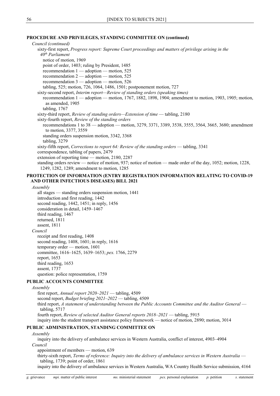# **PROCEDURE AND PRIVILEGES, STANDING COMMITTEE ON (continued)**

*Council (continued)* sixty-first report, *Progress report: Supreme Court proceedings and matters of privilege arising in the 40th Parliament* notice of motion, 1969 point of order, 1403; ruling by President, 1485 recommendation 1 — adoption — motion, 525 recommendation 2 — adoption — motion, 525 recommendation 3 — adoption — motion, 526 tabling, 525; motion, 726, 1064, 1486, 1501; postponement motion, 727 sixty-second report, *Interim report—Review of standing orders (speaking times)* recommendation 1 — adoption — motion, 1767, 1882, 1898, 1904; amendment to motion, 1903, 1905; motion, as amended, 1905 tabling, 1767 sixty-third report, *Review of standing orders—Extension of time* — tabling, 2180 sixty-fourth report, *Review of the standing orders* recommendations 1 to 38 — adoption — motion, 3279, 3371, 3389, 3538, 3555, 3564, 3665, 3680; amendment to motion, 3377, 3559 standing orders suspension motion, 3342, 3368 tabling, 3279 sixty-fifth report, *Corrections to report 64: Review of the standing orders* — tabling, 3341 correspondence, tabling of papers, 2479 extension of reporting time — motion, 2180, 2287 standing orders review — notice of motion, 937; notice of motion — made order of the day, 1052; motion, 1228, 1249, 1282, 1289; amendment to motion, 1285

# **PROTECTION OF INFORMATION (ENTRY REGISTRATION INFORMATION RELATING TO COVID-19 AND OTHER INFECTIOUS DISEASES) BILL 2021**

*Assembly*

all stages — standing orders suspension motion, 1441 introduction and first reading, 1442 second reading, 1442, 1451; in reply, 1456 consideration in detail, 1459–1467 third reading, 1467 returned, 1811 assent, 1811 *Council* receipt and first reading, 1408 second reading, 1408, 1601; in reply, 1616 temporary order — motion, 1601 committee, 1616–1625, 1639–1653; *pex.* 1766, 2279 report, 1653 third reading, 1653 assent, 1737 question: police representation, 1759

### **PUBLIC ACCOUNTS COMMITTEE**

*Assembly* first report, *Annual report 2020–2021* — tabling, 4509 second report, *Budget briefing 2021–2022* — tabling, 4509 third report, *A statement of understanding between the Public Accounts Committee and the Auditor General* tabling, 5717 fourth report, *Review of selected Auditor General reports 2018–2021* — tabling, 5915 inquiry into the student transport assistance policy framework — notice of motion, 2890; motion, 3014

# **PUBLIC ADMINISTRATION, STANDING COMMITTEE ON**

#### *Assembly*

inquiry into the delivery of ambulance services in Western Australia, conflict of interest, 4903–4904 *Council*

appointment of members — motion, 639

thirty-sixth report, *Terms of reference: Inquiry into the delivery of ambulance services in Western Australia* tabling, 1739; point of order, 1861

inquiry into the delivery of ambulance services in Western Australia, WA Country Health Service submission, 4164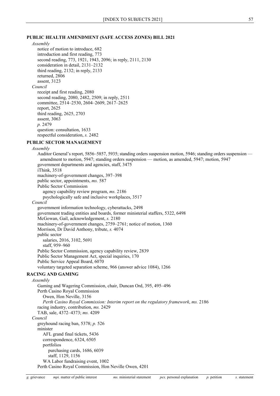### **PUBLIC HEALTH AMENDMENT (SAFE ACCESS ZONES) BILL 2021**

### *Assembly*

notice of motion to introduce, 682 introduction and first reading, 773 second reading, 773, 1921, 1943, 2096; in reply, 2111, 2130 consideration in detail, 2131–2132 third reading, 2132; in reply, 2133 returned, 2806 assent, 3123 *Council* receipt and first reading, 2080 second reading, 2080, 2482, 2509; in reply, 2511 committee, 2514–2530, 2604–2609, 2617–2625 report, 2625 third reading, 2625, 2703 assent, 3063 *p.* 2479 question: consultation, 1633 respectful consideration, *s.* 2482

### **PUBLIC SECTOR MANAGEMENT**

#### *Assembly*

Auditor General's report, 5856–5857, 5935; standing orders suspension motion, 5946; standing orders suspension amendment to motion, 5947; standing orders suspension — motion, as amended, 5947; motion, 5947 government departments and agencies, staff, 3475 iThink, 3518 machinery-of-government changes, 397–398 public sector, appointments, *ms.* 587 Public Sector Commission agency capability review program, *ms.* 2186 psychologically safe and inclusive workplaces, 3517 *Council* government information technology, cyberattacks, 2498 government trading entities and boards, former ministerial staffers, 5322, 6498 McGowan, Gail, acknowledgement, *s.* 2180 machinery-of-government changes, 2759–2761; notice of motion, 1360 Morrison, Dr David Anthony, tribute, *s.* 4074 public sector salaries, 2016, 3102, 5691 staff, 959–960 Public Sector Commission, agency capability review, 2839 Public Sector Management Act, special inquiries, 170 Public Service Appeal Board, 6070 voluntary targeted separation scheme, 966 (answer advice 1084), 1266 **RACING AND GAMING** *Assembly* Gaming and Wagering Commission, chair, Duncan Ord, 395, 495–496 Perth Casino Royal Commission Owen, Hon Neville, 3156 *Perth Casino Royal Commission: Interim report on the regulatory framework*, *ms.* 2186 racing industry, contribution, *ms.* 2429 TAB, sale, 4372–4373; *ms.* 4209 *Council* greyhound racing ban, 5378; *p.* 526 minister AFL grand final tickets, 5436 correspondence, 6324, 6505 portfolios purchasing cards, 1686, 6039 staff, 1129, 1156 WA Labor fundraising event, 1002 Perth Casino Royal Commission, Hon Neville Owen, 4201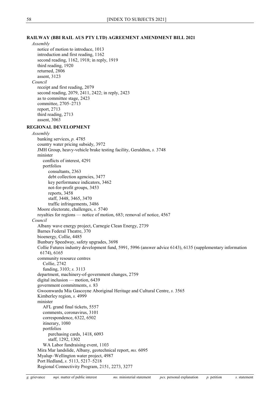# **RAILWAY (BBI RAIL AUS PTY LTD) AGREEMENT AMENDMENT BILL 2021**

*Assembly* notice of motion to introduce, 1013 introduction and first reading, 1162 second reading, 1162, 1918; in reply, 1919 third reading, 1920 returned, 2806 assent, 3123 *Council* receipt and first reading, 2079 second reading, 2079, 2411, 2422; in reply, 2423 as to committee stage, 2423 committee, 2705–2713 report, 2713 third reading, 2713 assent, 3063 **REGIONAL DEVELOPMENT** *Assembly* banking services, *p.* 4785 country water pricing subsidy, 3972 JMH Group, heavy-vehicle brake testing facility, Geraldton, *s.* 3748 minister conflicts of interest, 4291 portfolios consultants, 2363 debt collection agencies, 3477 key performance indicators, 3462 not-for-profit groups, 3453 reports, 3458 staff, 3448, 3465, 3470 traffic infringements, 3486 Moore electorate, challenges, *s.* 5740 royalties for regions — notice of motion, 683; removal of notice, 4567 *Council* Albany wave energy project, Carnegie Clean Energy, 2739 Barnes Federal Theatre, 370 bioenergy, Collie, 4485 Bunbury Speedway, safety upgrades, 3698 Collie Futures industry development fund, 5991, 5996 (answer advice 6143), 6135 (supplementary information 6174), 6165 community resource centres Collie, 2742 funding, 3103; *s.* 3113 department, machinery-of-government changes, 2759 digital inclusion — motion, 6439 government commitments, *s.* 83 Gwoonwardu Mia Gascoyne Aboriginal Heritage and Cultural Centre, *s.* 3565 Kimberley region, *s.* 4999 minister AFL grand final tickets, 5557 comments, coronavirus, 3101 correspondence, 6322, 6502 itinerary, 1080 portfolios purchasing cards, 1418, 6093 staff, 1292, 1302 WA Labor fundraising event, 1103 Mira Mar landslide, Albany, geotechnical report, *ms.* 6095 Myalup–Wellington water project, 4987 Port Hedland, *s.* 5113, 5217–5218 Regional Connectivity Program, 2151, 2273, 3277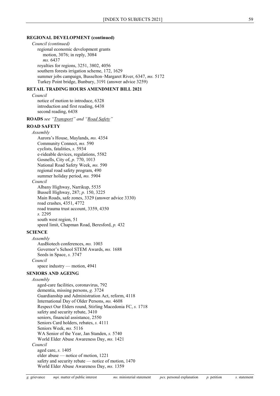### **REGIONAL DEVELOPMENT (continued)**

*Council (continued)* regional economic development grants motion, 3076; in reply, 3084 *ms.* 6437 royalties for regions, 3251, 3802, 4056 southern forests irrigation scheme, 172, 1629 summer jobs campaign, Busselton–Margaret River, 6347, *ms.* 5172 Turkey Point bridge, Bunbury, 3191 (answer advice 3259)

### **RETAIL TRADING HOURS AMENDMENT BILL 2021**

*Council*

notice of motion to introduce, 6328 introduction and first reading, 6438 second reading, 6438

**ROADS** *see ["Transport"](#page-64-0) and ["Road Safety"](#page-59-0)*

# <span id="page-59-0"></span>**ROAD SAFETY**

*Assembly* Aurora's House, Maylands, *ms.* 4354 Community Connect, *ms.* 590 cyclists, fatalities, *s.* 5934 e-rideable devices, regulations, 5582 Gosnells, City of, *p.* 770, 1013 National Road Safety Week, *ms.* 590 regional road safety program, 490 summer holiday period, *ms.* 5904 *Council* Albany Highway, Narrikup, 5535 Bussell Highway, 287; *p.* 150, 3225 Main Roads, safe zones, 3329 (answer advice 3330) road crashes, 4351, 4772 road trauma trust account, 3359, 4350 *s.* 2295 south west region, 51 speed limit, Chapman Road, Beresford, *p.* 432

# **SCIENCE**

*Assembly* AusBiotech conferences, *ms.* 1003 Governor's School STEM Awards, *ms.* 1688 Seeds in Space, *s.* 3747 *Council*

space industry — motion, 4941

# **SENIORS AND AGEING**

### *Assembly*

aged-care facilities, coronavirus, 792 dementia, missing persons, *g.* 3724 Guardianship and Administration Act, reform, 4118 International Day of Older Persons, *ms.* 4608 Respect Our Elders round, Stirling Macedonia FC, *s.* 1718 safety and security rebate, 3410 seniors, financial assistance, 2550 Seniors Card holders, rebates, *s.* 4111 Seniors Week, *ms.* 5116 WA Senior of the Year, Jan Standen, *s.* 5740 World Elder Abuse Awareness Day, *ms.* 1421 *Council* aged care, *s.* 1405 elder abuse — notice of motion, 1221 safety and security rebate — notice of motion, 1470 World Elder Abuse Awareness Day, *ms.* 1359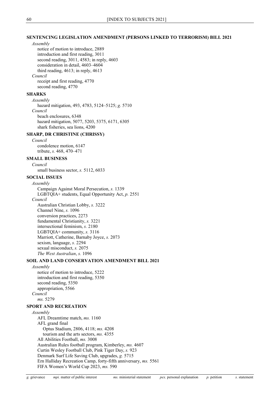### **SENTENCING LEGISLATION AMENDMENT (PERSONS LINKED TO TERRORISM) BILL 2021**

### *Assembly*

notice of motion to introduce, 2889 introduction and first reading, 3011 second reading, 3011, 4583; in reply, 4603 consideration in detail, 4603–4604 third reading, 4613; in reply, 4613 *Council* receipt and first reading, 4770 second reading, 4770

### **SHARKS**

*Assembly* hazard mitigation, 493, 4783, 5124–5125; *g.* 5710 *Council* beach enclosures, 6348 hazard mitigation, 5077, 5203, 5375, 6171, 6305 shark fisheries, sea lions, 4200

### **SHARP, DR CHRISTINE (CHRISSY)**

*Council* condolence motion, 6147 tribute, *s.* 468, 470–471

# **SMALL BUSINESS**

*Council*

small business sector, *s.* 5112, 6033

# **SOCIAL ISSUES**

*Assembly* Campaign Against Moral Persecution, *s.* 1339 LGBTQIA+ students, Equal Opportunity Act, *p.* 2551 *Council* Australian Christian Lobby, *s.* 3222 Channel Nine, *s.* 1096 conversion practices, 2273 fundamental Christianity, *s.* 3221 intersectional feminism, *s.* 2180 LGBTQIA+ community, *s.* 3116 Marriott, Catherine, Barnaby Joyce, *s.* 2073 sexism, language, *s.* 2294 sexual misconduct, *s.* 2075 *The West Australian*, *s.* 1096

# **SOIL AND LAND CONSERVATION AMENDMENT BILL 2021**

*Assembly* notice of motion to introduce, 5222 introduction and first reading, 5350 second reading, 5350 appropriation, 5566 *Council ms.* 5279

# **SPORT AND RECREATION**

*Assembly* AFL Dreamtime match, *ms.* 1160 AFL grand final Optus Stadium, 2806, 4118; *ms.* 4208 tourism and the arts sectors, *ms.* 4355 All Abilities Football, *ms.* 3008 Australian Rules football program, Kimberley, *ms.* 4607 Curtin Wesley Football Club, Pink Tiger Day, *s.* 923 Denmark Surf Life Saving Club, upgrades, *g.* 5715 Ern Halliday Recreation Camp, forty-fifth anniversary, *ms.* 5561 FIFA Women's World Cup 2023, *ms.* 590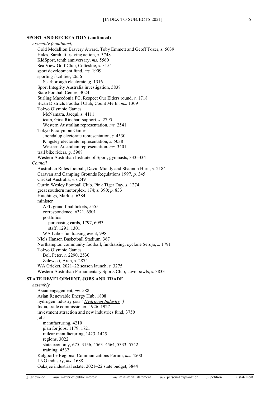### **SPORT AND RECREATION (continued)**

*Assembly (continued)* Gold Medallion Bravery Award, Toby Emmett and Geoff Tozer, *s.* 5039 Hales, Sarah, lifesaving action, *s.* 3748 KidSport, tenth anniversary, *ms.* 5560 Sea View Golf Club, Cottesloe, *s.* 3154 sport development fund, *ms.* 1909 sporting facilities, 2656 Scarborough electorate, *g.* 1316 Sport Integrity Australia investigation, 5838 State Football Centre, 3024 Stirling Macedonia FC, Respect Our Elders round, *s.* 1718 Swan Districts Football Club, Count Me In, *ms.* 1309 Tokyo Olympic Games McNamara, Jacqui, *s.* 4111 team, Gina Rinehart support, *s.* 2795 Western Australian representation, *ms.* 2541 Tokyo Paralympic Games Joondalup electorate representation, *s.* 4530 Kingsley electorate representation, *s.* 5038 Western Australian representation, *ms.* 3401 trail bike riders, *g.* 5908 Western Australian Institute of Sport, gymnasts, 333–334 *Council* Australian Rules football, David Mundy and Shannon Hurn, *s.* 2184 Caravan and Camping Grounds Regulations 1997, *p.* 345 Cricket Australia, *s.* 6249 Curtin Wesley Football Club, Pink Tiger Day, *s.* 1274 great southern motorplex, 174; *s.* 390; *p.* 833 Hutchings, Mark, *s.* 6384 minister AFL grand final tickets, 5555 correspondence, 6321, 6501 portfolios purchasing cards, 1797, 6093 staff, 1291, 1301 WA Labor fundraising event, 998 Niels Hansen Basketball Stadium, 367 Northampton community football, fundraising, cyclone Seroja, *s.* 1791 Tokyo Olympic Games Bol, Peter, *s.* 2290, 2530 Zalewski, Aran, *s.* 2874 WA Cricket, 2021–22 season launch, *s.* 3275 Western Australian Parliamentary Sports Club, lawn bowls, *s.* 3833

### **STATE DEVELOPMENT, JOBS AND TRADE**

*Assembly* Asian engagement, *ms.* 588 Asian Renewable Energy Hub, 1808 hydrogen industry *(see ["Hydrogen Industry"](#page-38-0))* India, trade commissioner, 1926–1927 investment attraction and new industries fund, 3750 jobs manufacturing, 4210 plan for jobs, 1179, 1721 railcar manufacturing, 1423–1425 regions, 3022 state economy, 675, 3156, 4563–4564, 5333, 5742 training, 4532 Kalgoorlie Regional Communications Forum, *ms.* 4500 LNG industry, *ms.* 1688 Oakajee industrial estate, 2021–22 state budget, 3844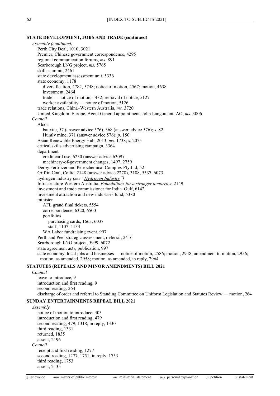### **STATE DEVELOPMENT, JOBS AND TRADE (continued)**

*Assembly (continued)* Perth City Deal, 1010, 3021 Premier, Chinese government correspondence, 4295 regional communication forums, *ms.* 891 Scarborough LNG project, *ms.* 5765 skills summit, 2461 state development assessment unit, 5336 state economy, 1178 diversification, 4782, 5748; notice of motion, 4567; motion, 4638 investment, 2464 trade — notice of motion, 1432; removal of notice, 5127 worker availability — notice of motion, 5126 trade relations, China–Western Australia, *ms.* 3720 United Kingdom–Europe, Agent General appointment, John Langoulant, AO, *ms.* 3006 *Council* Alcoa bauxite, 57 (answer advice 576), 368 (answer advice 576); *s.* 82 Huntly mine, 371 (answer advice 576); *p.* 150 Asian Renewable Energy Hub, 2013; *ms.* 1738; *s.* 2075 critical skills advertising campaign, 3364 department credit card use, 6230 (answer advice 6309) machinery-of-government changes, 1497, 2759 Derby Fertilizer and Petrochemical Complex Pty Ltd, 52 Griffin Coal, Collie, 2148 (answer advice 2278), 3188, 5537, 6073 hydrogen industry *(see ["Hydrogen Industry"](#page-38-0))* Infrastructure Western Australia, *Foundations for a stronger tomorrow*, 2149 investment and trade commissioner for India–Gulf, 6142 investment attraction and new industries fund, 5380 minister AFL grand final tickets, 5554 correspondence, 6320, 6500 portfolios purchasing cards, 1663, 6037 staff, 1107, 1134 WA Labor fundraising event, 997 Perth and Peel strategic assessment, deferral, 2416 Scarborough LNG project, 5999, 6072 state agreement acts, publication, 997 state economy, local jobs and businesses — notice of motion, 2586; motion, 2948; amendment to motion, 2956; motion, as amended, 2958; motion, as amended, in reply, 2964

### **STATUTES (REPEALS AND MINOR AMENDMENTS) BILL 2021**

*Council* leave to introduce, 9 introduction and first reading, 9 second reading, 264 discharge of order and referral to Standing Committee on Uniform Legislation and Statutes Review — motion, 264

# **SUNDAY ENTERTAINMENTS REPEAL BILL 2021**

*Assembly* notice of motion to introduce, 403 introduction and first reading, 479 second reading, 479, 1318; in reply, 1330 third reading, 1331 returned, 1835 assent, 2196 *Council* receipt and first reading, 1277 second reading, 1277, 1751; in reply, 1753 third reading, 1753 assent, 2135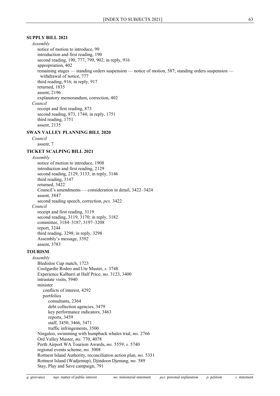# **SUPPLY BILL 2021**

*Assembly* notice of motion to introduce, 99 introduction and first reading, 190 second reading, 190, 777, 799, 902; in reply, 916 appropriation, 402 remaining stages — standing orders suspension — notice of motion, 587; standing orders suspension withdrawal of notice, 777 third reading, 916; in reply, 917 returned, 1835 assent, 2196 explanatory memorandum, correction, 402 *Council* receipt and first reading, 873 second reading, 873, 1744; in reply, 1751 third reading, 1751 assent, 2135

# **SWAN VALLEY PLANNING BILL 2020**

*Council* assent, 7

# **TICKET SCALPING BILL 2021**

# *Assembly*

notice of motion to introduce, 1908 introduction and first reading, 2129 second reading, 2129, 3133; in reply, 3146 third reading, 3147 returned, 3422 Council's amendments — consideration in detail, 3422–3424 assent, 3847 second reading speech, correction, *pex.* 3422 *Council* receipt and first reading, 3119 second reading, 3119, 3170; in reply, 3182 committee, 3184–3187, 3197–3208 report, 3244 third reading, 3298; in reply, 3298 Assembly's message, 3392 assent, 3783

### **TOURISM**

*Assembly* Bledisloe Cup match, 1723 Coolgardie Rodeo and Ute Muster, *s.* 3748 Experience Kalbarri at Half Price, *ms.* 3123, 3400 intrastate visits, 5940 minister conflicts of interest, 4292 portfolios consultants, 2364 debt collection agencies, 3479 key performance indicators, 3463 reports, 3459 staff, 3450, 3466, 3471 traffic infringements, 3500 Ningaloo, swimming with humpback whales trial, *ms.* 2766 Ord Valley Muster, *ms.* 770, 4078 Perth Airport WA Tourism Awards, *ms.* 5559; *s.* 5740 regional events scheme, *ms.* 3008 Rottnest Island Authority, reconciliation action plan, *ms.* 5331 Rottnest Island (Wadjemup), Djindoon Djenung, *ms.* 589 Stay, Play and Save campaign, 791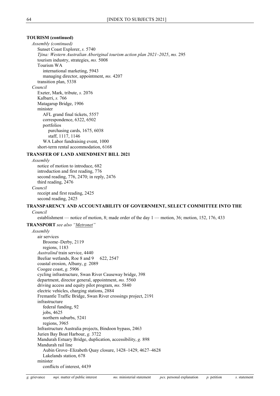# **TOURISM (continued)**

*Assembly (continued)* Sunset Coast Explorer, *s.* 5740 *Tjina: Western Australian Aboriginal tourism action plan 2021–2025*, *ms.* 295 tourism industry, strategies, *ms.* 5008 Tourism WA international marketing, 5943 managing director, appointment, *ms.* 4207 transition plan, 5338 *Council* Exeter, Mark, tribute, *s.* 2076 Kalbarri, *s.* 766 Matagarup Bridge, 1906 minister AFL grand final tickets, 5557 correspondence, 6322, 6502 portfolios purchasing cards, 1675, 6038 staff, 1117, 1146 WA Labor fundraising event, 1000 short-term rental accommodation, 6168

### **TRANSFER OF LAND AMENDMENT BILL 2021**

*Assembly* notice of motion to introduce, 682 introduction and first reading, 776 second reading, 776, 2470; in reply, 2476 third reading, 2476 *Council* receipt and first reading, 2425 second reading, 2425

# **TRANSPARENCY AND ACCOUNTABILITY OF GOVERNMENT, SELECT COMMITTEE INTO THE**

*Council*

establishment — notice of motion, 8; made order of the day 1 — motion, 36; motion, 152, 176, 433

### <span id="page-64-0"></span>**TRANSPORT** *see also ["Metronet"](#page-48-1)*

*Assembly* air services Broome–Derby, 2119 regions, 1183 *Australind* train service, 4440 Beeliar wetlands, Roe 8 and 9 622, 2547 coastal erosion, Albany, *g.* 2089 Coogee coast, *g.* 5906 cycling infrastructure, Swan River Causeway bridge, 398 department, director general, appointment, *ms.* 5560 driving access and equity pilot program, *ms.* 5840 electric vehicles, charging stations, 2884 Fremantle Traffic Bridge, Swan River crossings project, 2191 infrastructure federal funding, 92 jobs, 4625 northern suburbs, 5241 regions, 3965 Infrastructure Australia projects, Bindoon bypass, 2463 Jurien Bay Boat Harbour, *g.* 3722 Mandurah Estuary Bridge, duplication, accessibility, *g.* 898 Mandurah rail line Aubin Grove–Elizabeth Quay closure, 1428–1429, 4627–4628 Lakelands station, 678 minister conflicts of interest, 4439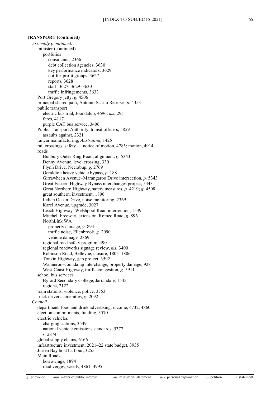### **TRANSPORT (continued)**

*Assembly (continued)* minister (continued) portfolios consultants, 2366 debt collection agencies, 3630 key performance indicators, 3629 not-for-profit groups, 3627 reports, 3628 staff, 3627, 3629–3630 traffic infringements, 3633 Port Gregory jetty, *g.* 4506 principal shared path, Antonio Scarfo Reserve, *p.* 4353 public transport electric bus trial, Joondalup, 4696; *ms.* 295 fares, 4117 purple CAT bus service, 3406 Public Transport Authority, transit officers, 5859 assaults against, 2321 railcar manufacturing, *Australind*, 1425 rail crossings, safety — notice of motion, 4785; motion, 4914 roads Bunbury Outer Ring Road, alignment, *g.* 5343 Denny Avenue, level crossing, 330 Flynn Drive, Neerabup, *g.* 2769 Geraldton heavy vehicle bypass, *p.* 188 Girrawheen Avenue–Marangaroo Drive intersection, *p.* 5343 Great Eastern Highway Bypass interchanges project, 5443 Great Northern Highway, safety measures, *p.* 4219; *g.* 4508 great southern, investment, 1806 Indian Ocean Drive, noise monitoring, 2369 Karel Avenue, upgrade, 3027 Leach Highway–Welshpool Road intersection, 1539 Mitchell Freeway, extension, Romeo Road, *g.* 896 NorthLink WA property damage, *g.* 894 traffic noise, Ellenbrook, *g.* 2090 vehicle damage, 2369 regional road safety program, 490 regional roadworks signage review, *ms.* 3400 Robinson Road, Bellevue, closure, 1805–1806 Tonkin Highway, gap project, 3592 Wanneroo–Joondalup interchange, property damage, 928 West Coast Highway, traffic congestion, *g.* 5911 school bus services Byford Secondary College, Jarrahdale, 1545 regions, 2122 train stations, violence, police, 3753 truck drivers, amenities, *g.* 2092 *Council* department, food and drink advertising, income, 4732, 4860 election commitments, funding, 3570 electric vehicles charging stations, 3549 national vehicle emissions standards, 5377 *s.* 2874 global supply chains, 6166 infrastructure investment, 2021–22 state budget, 3935 Jurien Bay boat harbour, 3255 Main Roads borrowings, 1894 road verges, weeds, 4861, 4995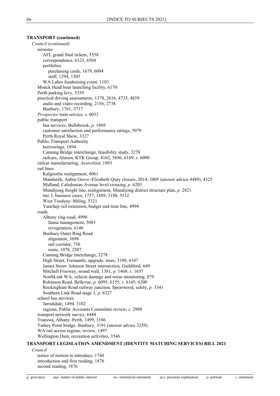# **TRANSPORT (continued)**

*Council (continued)* minister AFL grand final tickets, 5558 correspondence, 6323, 6504 portfolios purchasing cards, 1679, 6094 staff, 1294, 1305 WA Labor fundraising event, 1103 Monck Head boat launching facility, 6170 Perth parking levy, 3359 practical driving assessments, 1378, 2616, 4735, 4859 audio and video recording, 2156, 2738 Bunbury, 1761, 3717 *Prospector* train service, *s.* 6032 public transport bus services, Bullsbrook, *p.* 1969 customer satisfaction and performance ratings, 5079 Perth Royal Show, 3327 Public Transport Authority borrowings, 1894 Canning Bridge interchange, feasibility study, 3278 railcars, Alstom, KTK Group, 4162, 5696, 6169; *s.* 6090 railcar manufacturing, *Australind*, 1893 rail lines Kalgoorlie realignment, 4061 Mandurah, Aubin Grove–Elizabeth Quay closure, 2014, 3805 (answer advice 4489), 4325 Midland, Caledonian Avenue level crossing, *p.* 6203 Mundijong freight line, realignment, Mundijong district structure plan, *p.* 2821 tier 3, business cases, 1757, 1889, 3188, 5532 West Toodyay–Miling, 5321 Yanchep rail extension, budget and time line, 4994 roads Albany ring-road, 4990 fauna management, 5083 revegetation, 6140 Bunbury Outer Ring Road alignment, 3698 rail corridor, 750 route, 1078, 2507 Canning Bridge interchange, 3278 High Street, Fremantle, upgrade, trees, 3190, 4347 James Street–Johnson Street intersection, Guildford, 649 Mitchell Freeway, sound wall, 1381, *p.* 1468; *s.* 1657 NorthLink WA, vehicle damage and noise monitoring, 879 Robinson Road, Bellevue, *p.* 6095, 6155; *s.* 6145, 6200 Rockingham Road railway junction, Spearwood, safety, *p.* 3341 Southern Link Road stage 3, *p.* 6327 school bus services Jarrahdale, 1494, 3102 regions, Public Accounts Committee review, *s.* 2988 transport network survey, 6484 Transwa, Albany–Perth, 1499, 3106 Turkey Point bridge, Bunbury, 3191 (answer advice 3259) WA rail access regime, review, 1497 Wellington Dam, recreation activities, 3546

# **TRANSPORT LEGISLATION AMENDMENT (IDENTITY MATCHING SERVICES) BILL 2021**

*Council*

notice of motion to introduce, 1740 introduction and first reading, 1876 second reading, 1876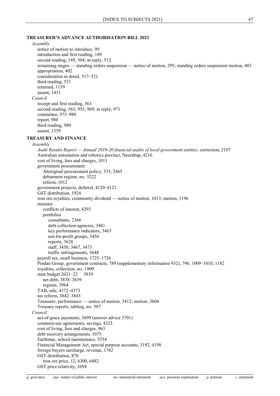# **TREASURER'S ADVANCE AUTHORISATION BILL 2021**

*Assembly*

notice of motion to introduce, 99 introduction and first reading, 189 second reading, 189, 504; in reply, 512 remaining stages — standing orders suspension — notice of motion, 295; standing orders suspension motion, 403 appropriation, 402 consideration in detail, 517–521 third reading, 521 returned, 1159 assent, 1431 *Council* receipt and first reading, 563 second reading, 563, 955, 969; in reply, 971 committee, 973–980 report, 980 third reading, 980 assent, 1359

# **TREASURY AND FINANCE**

# *Assembly*

*Audit Results Report — Annual 2019-20 financial audits of local government entities,* correction, 2197 Australian automation and robotics precinct, Neerabup, 4216 cost of living, fees and charges, 1011 government procurement Aboriginal procurement policy, 335, 2465 debarment regime, *ms.* 5222 reform, 1012 government projects, deferral, 4120–4121 GST distribution, 1924 iron ore royalties, community dividend — notice of motion, 1013; motion, 1196 minister conflicts of interest, 4293 portfolios consultants, 2366 debt collection agencies, 3481 key performance indicators, 3463 not-for-profit groups, 3456 reports, 3628 staff, 3450, 3467, 3473 traffic infringements, 3648 payroll tax, small business, 1725–1726 Pindan Group, government contracts, 789 (supplementary information 932), 796, 1009–1010, 1182 royalties, collection, *ms.* 1909 state budget 2021–22 3839 net debt, 3838–3839 regions, 3964 TAB, sale, 4372–4373 tax reform, 3842–3843 Treasurer, performance — notice of motion, 3412; motion, 3604 Treasury reports, tabling, *ms.* 587 *Council* act-of-grace payments, 3699 (answer advice 3701) common-use agreements, savings, 4323 cost of living, fees and charges, 963 debt recovery arrangements, 1075 Earthmac, school maintenance, 5554 Financial Management Act, special purpose accounts, 3192, 4198 foreign buyers surcharge, revenue, 1762 GST distribution, 876 iron ore price, 12, 6300, 6482

GST price relativity, 3694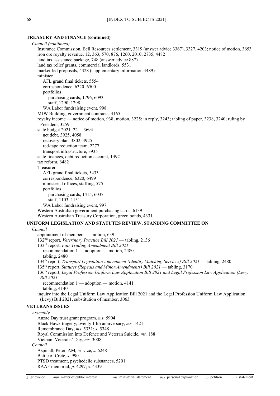### **TREASURY AND FINANCE (continued)**

*Council (continued)* Insurance Commission, Bell Resources settlement, 3319 (answer advice 3367), 3327, 4203; notice of motion, 3653 iron ore royalty revenue, 12, 363, 570, 876, 1260, 2010, 2735, 4482 land tax assistance package, 748 (answer advice 887) land tax relief grants, commercial landlords, 5531 market-led proposals, 4328 (supplementary information 4489) minister AFL grand final tickets, 5554 correspondence, 6320, 6500 portfolios purchasing cards, 1796, 6093 staff, 1290, 1298 WA Labor fundraising event, 998 MJW Building, government contracts, 4165 royalty income — notice of motion, 938; motion, 3225; in reply, 3243; tabling of paper, 3238, 3240; ruling by President, 3259 state budget 2021–22 3694 net debt, 3925, 4058 recovery plan, 3802, 3925 red-tape reduction team, 2277 transport infrastructure, 3935 state finances, debt reduction account, 1492 tax reform, 6482 Treasurer AFL grand final tickets, 5433 correspondence, 6320, 6499 ministerial offices, staffing, 575 portfolios purchasing cards, 1415, 6037 staff, 1103, 1131 WA Labor fundraising event, 997 Western Australian government purchasing cards, 6139 Western Australian Treasury Corporation, green bonds, 4331 **UNIFORM LEGISLATION AND STATUTES REVIEW, STANDING COMMITTEE ON** *Council* appointment of members — motion, 639 132nd report, *Veterinary Practice Bill 2021* — tabling, 2136 133rd report, *Fair Trading Amendment Bill 2021* recommendation 1 — adoption — motion, 2480 tabling, 2480 134th report, *Transport Legislation Amendment (Identity Matching Services) Bill 2021* — tabling, 2480 135th report, *Statutes (Repeals and Minor Amendments) Bill 2021* — tabling, 3170 136th report, *Legal Profession Uniform Law Application Bill 2021 and Legal Profession Law Application (Levy) Bill 2021* recommendation 1 — adoption — motion, 4141 tabling, 4140 inquiry into the Legal Uniform Law Application Bill 2021 and the Legal Profession Uniform Law Application (Levy) Bill 2021, substitution of member, 3063 **VETERANS ISSUES** *Assembly* Anzac Day trust grant program, *ms.* 5904 Black Hawk tragedy, twenty-fifth anniversary, *ms.* 1421 Remembrance Day, *ms.* 5331; *s.* 5348 Royal Commission into Defence and Veteran Suicide, *ms.* 188 Vietnam Veterans' Day, *ms.* 3008 *Council* Aspinall, Peter, AM, service, *s.* 6248 Battle of Crete, *s.* 990 PTSD treatment, psychedelic substances, 5201 RAAF memorial, *p.* 4297; *s.* 4339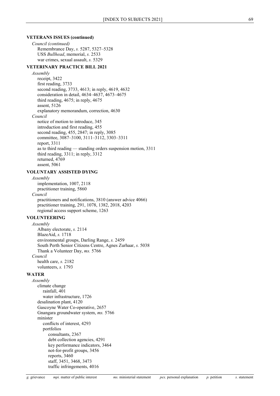### **VETERANS ISSUES (continued)**

*Council (continued)* Remembrance Day, *s.* 5287, 5327–5328 USS *Bullhead*, memorial, *s.* 2533 war crimes, sexual assault, *s.* 5329

### **VETERINARY PRACTICE BILL 2021**

*Assembly* receipt, 3422 first reading, 3733 second reading, 3733, 4613; in reply, 4619, 4632 consideration in detail, 4634–4637, 4673–4675 third reading, 4675; in reply, 4675 assent, 5126 explanatory memorandum, correction, 4630 *Council* notice of motion to introduce, 345 introduction and first reading, 455 second reading, 455, 2847; in reply, 3085 committee, 3087–3100, 3111–3112, 3303–3311 report, 3311 as to third reading — standing orders suspension motion, 3311 third reading, 3311; in reply, 3312 returned, 4769 assent, 5061

# **VOLUNTARY ASSISTED DYING**

*Assembly*

implementation, 1007, 2118 practitioner training, 5860

*Council*

practitioners and notifications, 3810 (answer advice 4066) practitioner training, 291, 1078, 1382, 2018, 4203 regional access support scheme, 1263

## **VOLUNTEERING**

*Assembly* Albany electorate, *s.* 2114 BlazeAid, *s.* 1718 environmental groups, Darling Range, *s.* 2459 South Perth Senior Citizens Centre, Agnes Zurhaar, *s.* 5038 Thank a Volunteer Day, *ms.* 5766 *Council* health care, *s.* 2182 volunteers, *s.* 1793

# **WATER**

*Assembly* climate change rainfall, 401 water infrastructure, 1726 desalination plant, 4120 Gascoyne Water Co-operative, 2657 Gnangara groundwater system, *ms.* 5766 minister conflicts of interest, 4293 portfolios consultants, 2367 debt collection agencies, 4291 key performance indicators, 3464 not-for-profit groups, 3456 reports, 3460 staff, 3451, 3468, 3473 traffic infringements, 4016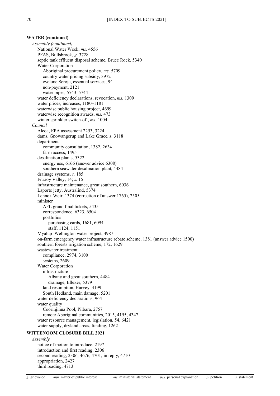# **WATER (continued)**

*Assembly (continued)* National Water Week, *ms.* 4556 PFAS, Bullsbrook, *g.* 3728 septic tank effluent disposal scheme, Bruce Rock, 5340 Water Corporation Aboriginal procurement policy, *ms.* 5709 country water pricing subsidy, 3972 cyclone Seroja, essential services, 94 non-payment, 2121 water pipes, 5743–5744 water deficiency declarations, revocation, *ms.* 1309 water prices, increases, 1180–1181 waterwise public housing project, 4699 waterwise recognition awards, *ms.* 473 winter sprinkler switch-off, *ms.* 1004 *Council* Alcoa, EPA assessment 2253, 3224 dams, Gnowangerup and Lake Grace, *s.* 3118 department community consultation, 1382, 2634 farm access, 1495 desalination plants, 5322 energy use, 6166 (answer advice 6308) southern seawater desalination plant, 4484 drainage systems, *s.* 185 Fitzroy Valley, 14; *s.* 15 infrastructure maintenance, great southern, 6036 Laporte jetty, Australind, 5374 Lennox Weir, 1374 (correction of answer 1765), 2505 minister AFL grand final tickets, 5435 correspondence, 6323, 6504 portfolios purchasing cards, 1681, 6094 staff, 1124, 1151 Myalup–Wellington water project, 4987 on-farm emergency water infrastructure rebate scheme, 1381 (answer advice 1500) southern forests irrigation scheme, 172, 1629 wastewater treatment compliance, 2974, 3100 systems, 2609 Water Corporation infrastructure Albany and great southern, 4484 drainage, Elleker, 5379 land resumption, Harvey, 4199 South Hedland, main damage, 5201 water deficiency declarations, 964 water quality Coorinjinna Pool, Pilbara, 2757 remote Aboriginal communities, 2015, 4195, 4347 water resource management, legislation, 54, 6421 water supply, dryland areas, funding, 1262

# **WITTENOOM CLOSURE BILL 2021**

*Assembly* notice of motion to introduce, 2197 introduction and first reading, 2306 second reading, 2306, 4676, 4701; in reply, 4710 appropriation, 2427 third reading, 4713